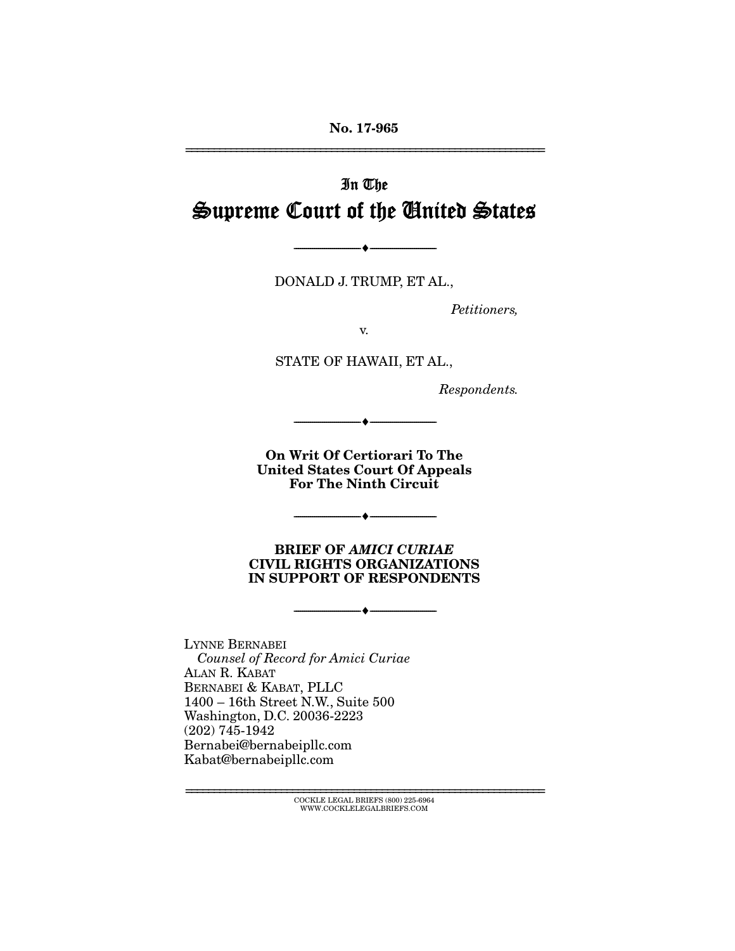No. 17-965 ================================================================

# In The Supreme Court of the United States

DONALD J. TRUMP, ET AL.,

 $\longrightarrow \hspace{0.2cm} \longrightarrow$ 

*Petitioners,* 

v.

STATE OF HAWAII, ET AL.,

*Respondents.* 

On Writ Of Certiorari To The United States Court Of Appeals For The Ninth Circuit

--------------------------------- ---------------------------------

--------------------------------- ---------------------------------

--------------------------------- ---------------------------------

BRIEF OF *AMICI CURIAE*  CIVIL RIGHTS ORGANIZATIONS IN SUPPORT OF RESPONDENTS

LYNNE BERNABEI  *Counsel of Record for Amici Curiae*  ALAN R. KABAT BERNABEI & KABAT, PLLC 1400 – 16th Street N.W., Suite 500 Washington, D.C. 20036-2223 (202) 745-1942 Bernabei@bernabeipllc.com Kabat@bernabeipllc.com

> ================================================================ COCKLE LEGAL BRIEFS (800) 225-6964 WWW.COCKLELEGALBRIEFS.COM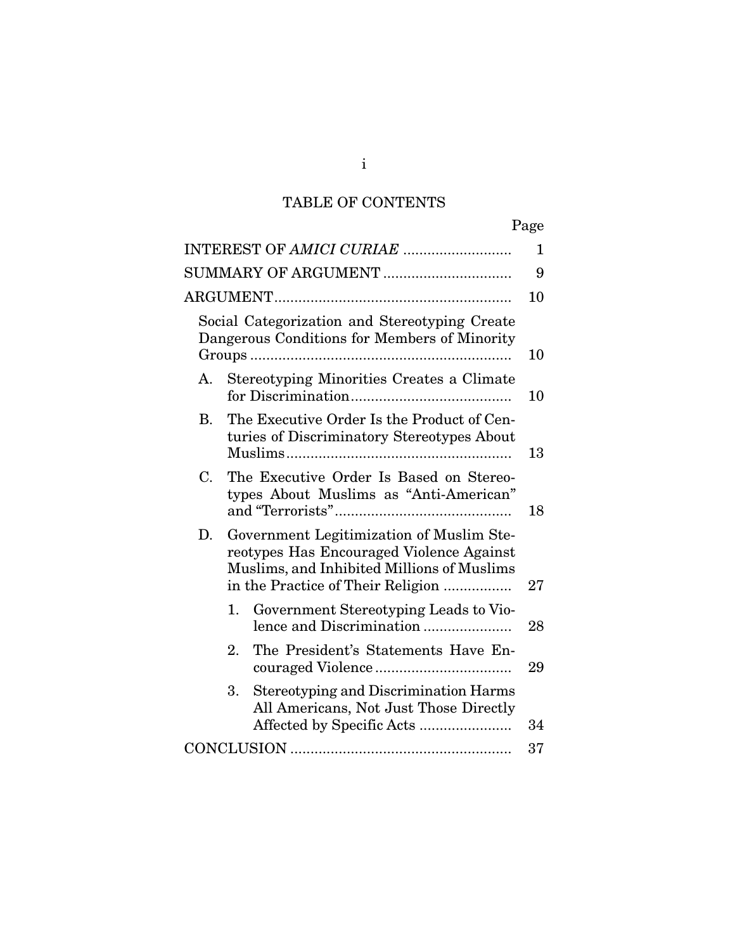# TABLE OF CONTENTS

|                                                                                                                                                                               | Page |  |
|-------------------------------------------------------------------------------------------------------------------------------------------------------------------------------|------|--|
|                                                                                                                                                                               | 1    |  |
| SUMMARY OF ARGUMENT                                                                                                                                                           | 9    |  |
|                                                                                                                                                                               | 10   |  |
| Social Categorization and Stereotyping Create<br>Dangerous Conditions for Members of Minority                                                                                 | 10   |  |
| Stereotyping Minorities Creates a Climate<br>А.                                                                                                                               | 10   |  |
| The Executive Order Is the Product of Cen-<br>В.<br>turies of Discriminatory Stereotypes About                                                                                | 13   |  |
| The Executive Order Is Based on Stereo-<br>C.<br>types About Muslims as "Anti-American"                                                                                       | 18   |  |
| Government Legitimization of Muslim Ste-<br>D.<br>reotypes Has Encouraged Violence Against<br>Muslims, and Inhibited Millions of Muslims<br>in the Practice of Their Religion |      |  |
| Government Stereotyping Leads to Vio-<br>1.<br>lence and Discrimination                                                                                                       | 28   |  |
| 2.<br>The President's Statements Have En-                                                                                                                                     | 29   |  |
| <b>Stereotyping and Discrimination Harms</b><br>3.<br>All Americans, Not Just Those Directly                                                                                  | 34   |  |
|                                                                                                                                                                               | 37   |  |

i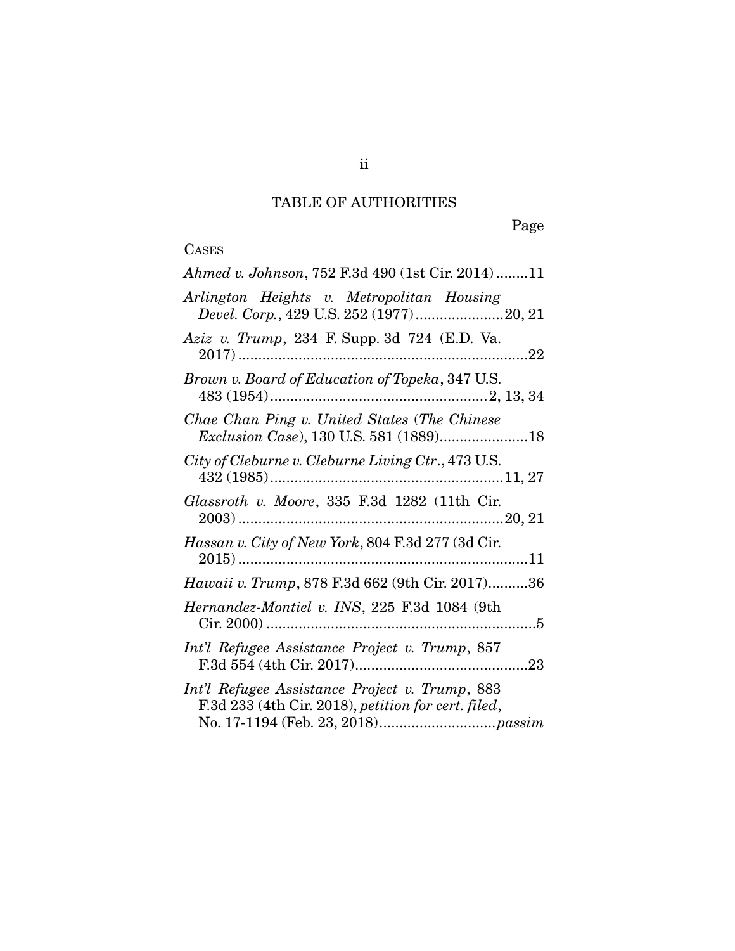# TABLE OF AUTHORITIES

Page

# $\frac{\text{CASES}}{\text{A hmed}}$

| Ahmed v. Johnson, 752 F.3d 490 (1st Cir. 2014)11                                                      |
|-------------------------------------------------------------------------------------------------------|
| Arlington Heights v. Metropolitan Housing<br>Devel. Corp., 429 U.S. 252 (1977)20, 21                  |
| Aziz v. Trump, 234 F. Supp. 3d 724 (E.D. Va.                                                          |
| Brown v. Board of Education of Topeka, 347 U.S.                                                       |
| Chae Chan Ping v. United States (The Chinese<br>Exclusion Case), 130 U.S. 581 (1889)18                |
| City of Cleburne v. Cleburne Living Ctr., 473 U.S.                                                    |
| Glassroth v. Moore, 335 F.3d 1282 (11th Cir.                                                          |
| Hassan v. City of New York, 804 F.3d 277 (3d Cir.                                                     |
| Hawaii v. Trump, 878 F.3d 662 (9th Cir. 2017)36                                                       |
| Hernandez-Montiel v. INS, 225 F.3d 1084 (9th                                                          |
| Int'l Refugee Assistance Project v. Trump, 857                                                        |
| Int'l Refugee Assistance Project v. Trump, 883<br>F.3d 233 (4th Cir. 2018), petition for cert. filed, |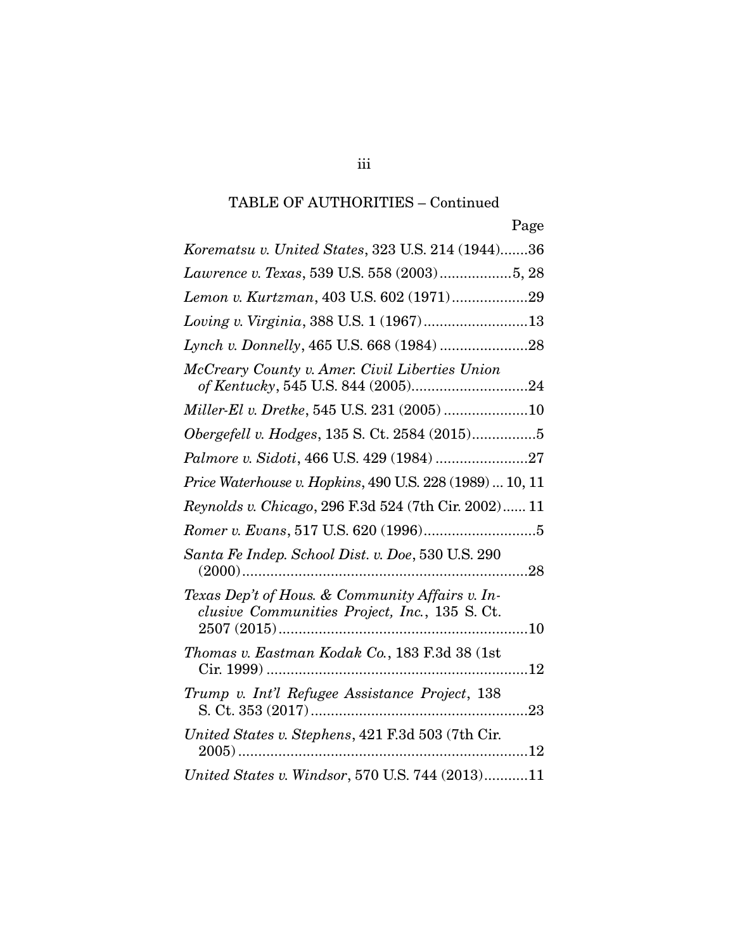| Page                                                                                                  |
|-------------------------------------------------------------------------------------------------------|
| Korematsu v. United States, 323 U.S. 214 (1944)36                                                     |
| Lawrence v. Texas, 539 U.S. 558 (2003)5, 28                                                           |
| Lemon v. Kurtzman, 403 U.S. 602 (1971)29                                                              |
| Loving v. Virginia, 388 U.S. 1 (1967)13                                                               |
|                                                                                                       |
| McCreary County v. Amer. Civil Liberties Union                                                        |
| Miller-El v. Dretke, 545 U.S. 231 (2005) 10                                                           |
| Obergefell v. Hodges, 135 S. Ct. 2584 (2015)5                                                         |
| Palmore v. Sidoti, 466 U.S. 429 (1984) 27                                                             |
| Price Waterhouse v. Hopkins, 490 U.S. 228 (1989)  10, 11                                              |
| Reynolds v. Chicago, 296 F.3d 524 (7th Cir. 2002) 11                                                  |
|                                                                                                       |
| Santa Fe Indep. School Dist. v. Doe, 530 U.S. 290                                                     |
| Texas Dep't of Hous. & Community Affairs v. In-<br>clusive Communities Project, Inc., 135 S.Ct.<br>10 |
| Thomas v. Eastman Kodak Co., 183 F.3d 38 (1st                                                         |
| Trump v. Int'l Refugee Assistance Project, 138                                                        |
| United States v. Stephens, 421 F.3d 503 (7th Cir.<br>$2005)$<br>. 12                                  |
| United States v. Windsor, 570 U.S. 744 (2013)11                                                       |

iii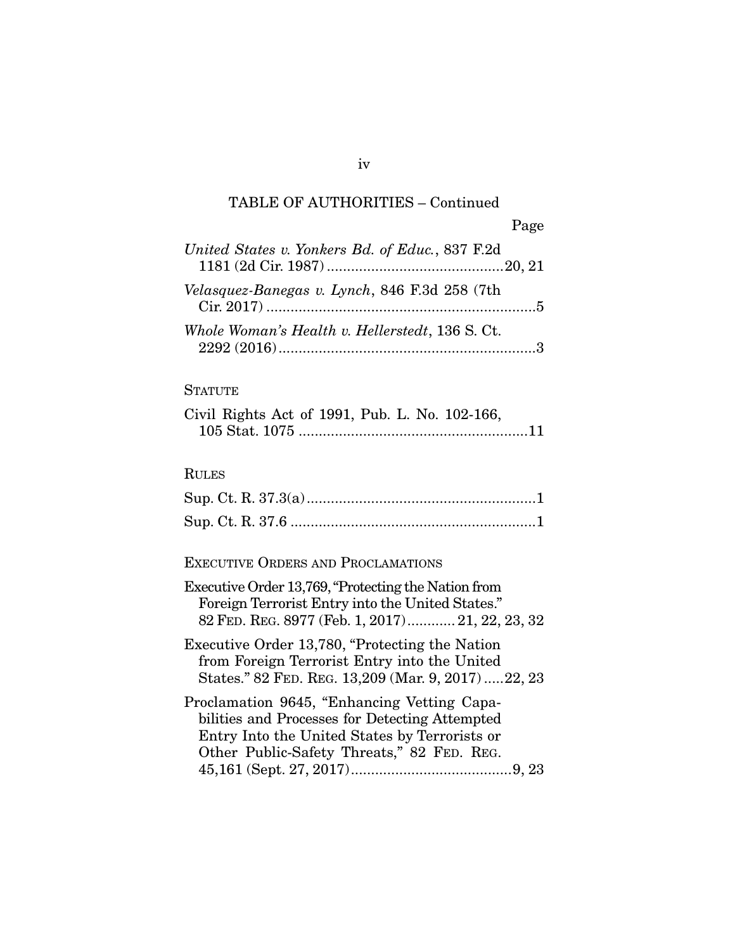| United States v. Yonkers Bd. of Educ., 837 F.2d |  |
|-------------------------------------------------|--|
| Velasquez-Banegas v. Lynch, 846 F.3d 258 (7th   |  |
| Whole Woman's Health v. Hellerstedt, 136 S. Ct. |  |

### **STATUTE**

|  |  |  | Civil Rights Act of 1991, Pub. L. No. 102-166, |  |
|--|--|--|------------------------------------------------|--|
|  |  |  |                                                |  |

### RULES

### EXECUTIVE ORDERS AND PROCLAMATIONS

#### iv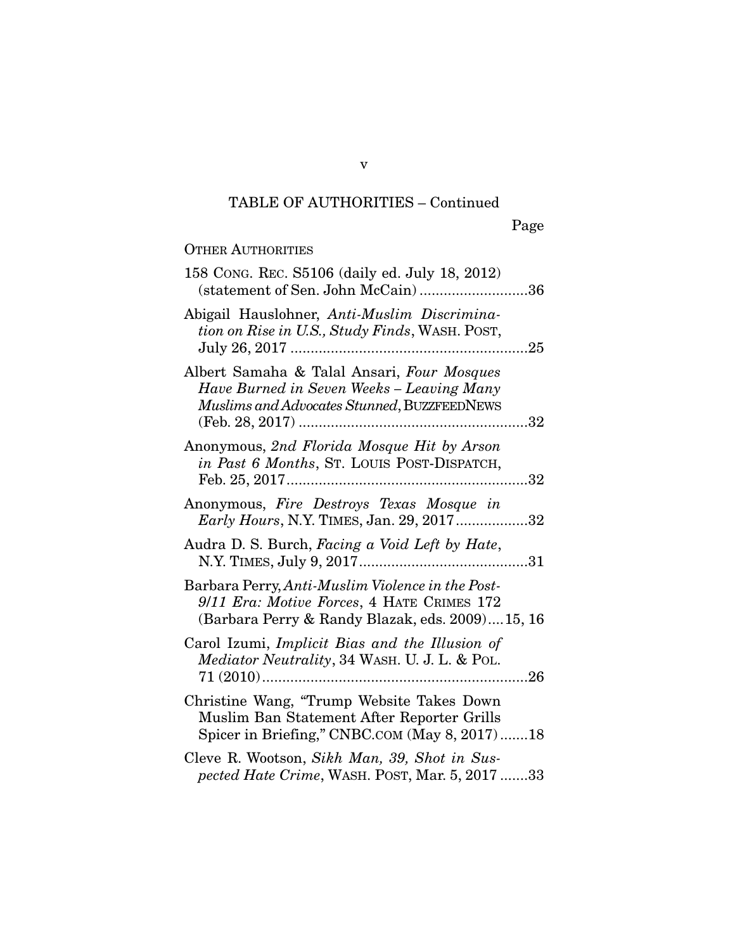#### OTHER AUTHORITIES

| 158 CONG. REC. S5106 (daily ed. July 18, 2012)<br>(statement of Sen. John McCain)36                                                               |
|---------------------------------------------------------------------------------------------------------------------------------------------------|
| Abigail Hauslohner, Anti-Muslim Discrimina-<br>tion on Rise in U.S., Study Finds, WASH. POST,<br>July 26, 2017<br>.25                             |
| Albert Samaha & Talal Ansari, Four Mosques<br>Have Burned in Seven Weeks - Leaving Many<br>Muslims and Advocates Stunned, BUZZFEEDNEWS            |
| Anonymous, 2nd Florida Mosque Hit by Arson<br>in Past 6 Months, St. LOUIS POST-DISPATCH,                                                          |
| Anonymous, Fire Destroys Texas Mosque in<br>Early Hours, N.Y. TIMES, Jan. 29, 201732                                                              |
| Audra D. S. Burch, Facing a Void Left by Hate,<br>31                                                                                              |
| Barbara Perry, Anti-Muslim Violence in the Post-<br>9/11 Era: Motive Forces, 4 HATE CRIMES 172<br>(Barbara Perry & Randy Blazak, eds. 2009)15, 16 |
| Carol Izumi, Implicit Bias and the Illusion of<br><i>Mediator Neutrality</i> , 34 WASH. U. J. L. & POL.                                           |
| Christine Wang, "Trump Website Takes Down"<br>Muslim Ban Statement After Reporter Grills<br>Spicer in Briefing," CNBC.COM (May 8, 2017)18         |
| Cleve R. Wootson, Sikh Man, 39, Shot in Sus-<br>pected Hate Crime, WASH. POST, Mar. 5, 2017 33                                                    |

v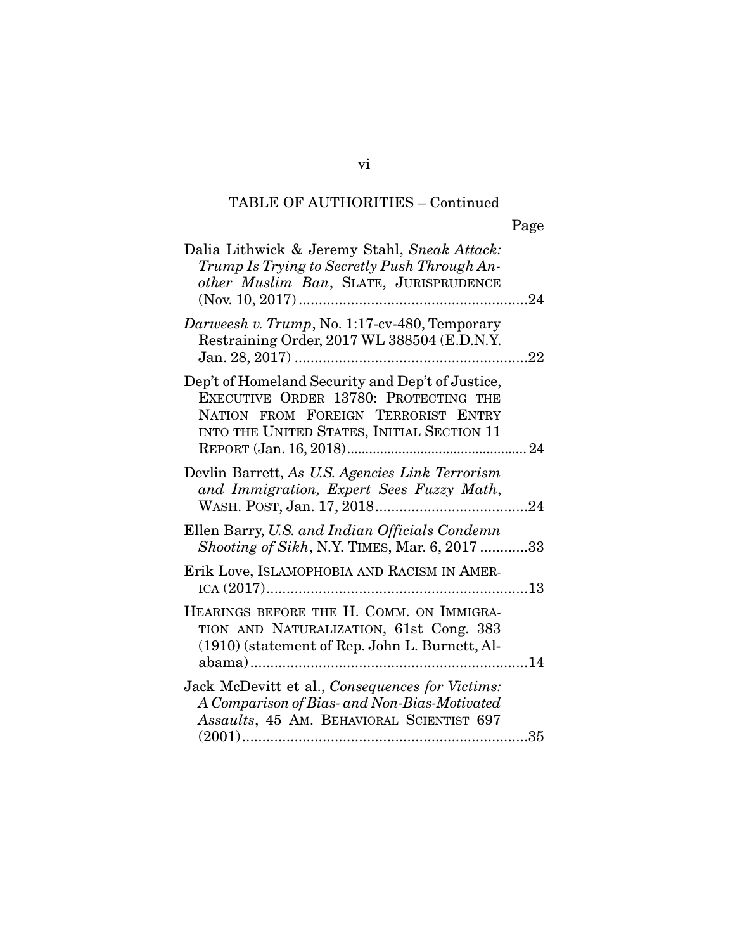| Dalia Lithwick & Jeremy Stahl, Sneak Attack:<br>Trump Is Trying to Secretly Push Through An-<br>other Muslim Ban, SLATE, JURISPRUDENCE                                         |  |
|--------------------------------------------------------------------------------------------------------------------------------------------------------------------------------|--|
| Darweesh v. Trump, No. 1:17-cv-480, Temporary<br>Restraining Order, 2017 WL 388504 (E.D.N.Y.                                                                                   |  |
| Dep't of Homeland Security and Dep't of Justice,<br>EXECUTIVE ORDER 13780: PROTECTING THE<br>NATION FROM FOREIGN TERRORIST ENTRY<br>INTO THE UNITED STATES, INITIAL SECTION 11 |  |
| Devlin Barrett, As U.S. Agencies Link Terrorism<br>and Immigration, Expert Sees Fuzzy Math,                                                                                    |  |
| Ellen Barry, U.S. and Indian Officials Condemn<br><i>Shooting of Sikh, N.Y. TIMES, Mar. 6, 2017 33</i>                                                                         |  |
| Erik Love, ISLAMOPHOBIA AND RACISM IN AMER-                                                                                                                                    |  |
| HEARINGS BEFORE THE H. COMM. ON IMMIGRA-<br>TION AND NATURALIZATION, 61st Cong. 383<br>(1910) (statement of Rep. John L. Burnett, Al-                                          |  |
| Jack McDevitt et al., Consequences for Victims:<br>A Comparison of Bias- and Non-Bias-Motivated<br>Assaults, 45 AM. BEHAVIORAL SCIENTIST 697                                   |  |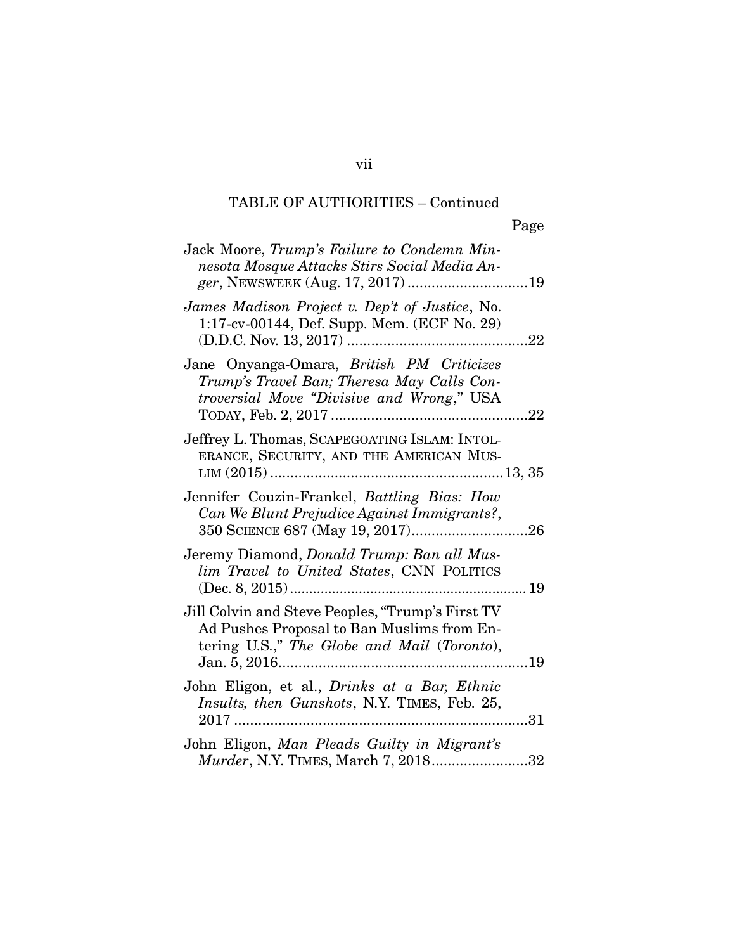| Jack Moore, Trump's Failure to Condemn Min-<br>nesota Mosque Attacks Stirs Social Media An-                                                         |
|-----------------------------------------------------------------------------------------------------------------------------------------------------|
| James Madison Project v. Dep't of Justice, No.<br>1:17-cv-00144, Def. Supp. Mem. (ECF No. 29)                                                       |
| Jane Onyanga-Omara, British PM Criticizes<br>Trump's Travel Ban; Theresa May Calls Con-<br>troversial Move "Divisive and Wrong," USA                |
| Jeffrey L. Thomas, SCAPEGOATING ISLAM: INTOL-<br>ERANCE, SECURITY, AND THE AMERICAN MUS-                                                            |
| Jennifer Couzin-Frankel, Battling Bias: How<br>Can We Blunt Prejudice Against Immigrants?,                                                          |
| Jeremy Diamond, Donald Trump: Ban all Mus-<br>lim Travel to United States, CNN POLITICS                                                             |
| Jill Colvin and Steve Peoples, "Trump's First TV<br>Ad Pushes Proposal to Ban Muslims from En-<br>tering U.S.," The Globe and Mail (Toronto),<br>19 |
| John Eligon, et al., <i>Drinks at a Bar</i> , <i>Ethnic</i><br>Insults, then Gunshots, N.Y. TIMES, Feb. 25,<br>31                                   |
| John Eligon, Man Pleads Guilty in Migrant's<br>Murder, N.Y. TIMES, March 7, 201832                                                                  |

vii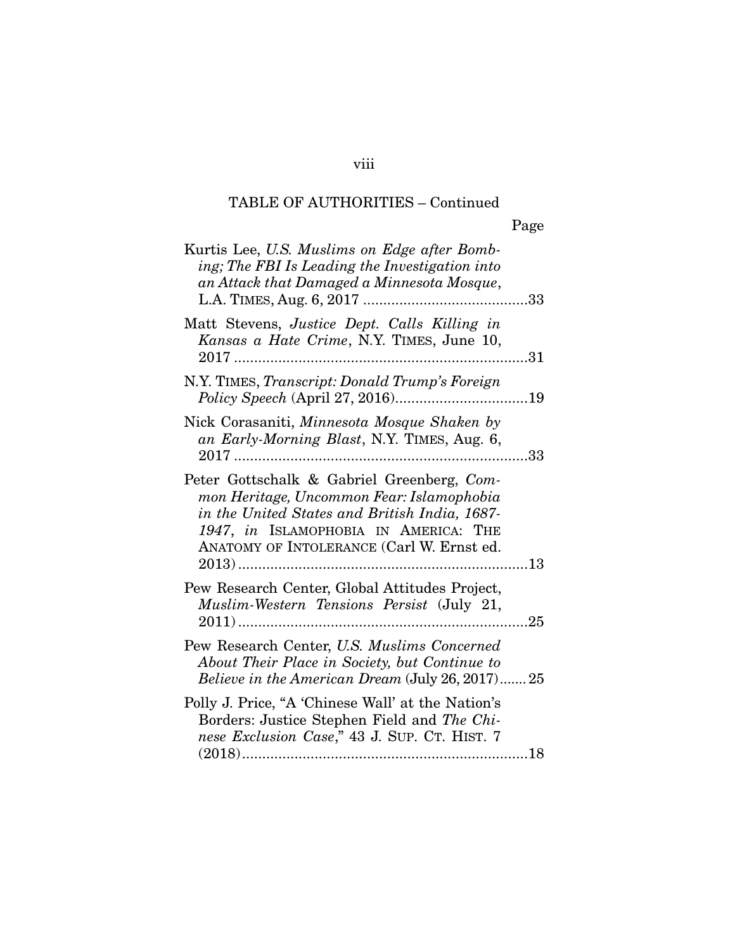| Kurtis Lee, U.S. Muslims on Edge after Bomb-<br>ing; The FBI Is Leading the Investigation into<br>an Attack that Damaged a Minnesota Mosque,                                                                                   | 33         |
|--------------------------------------------------------------------------------------------------------------------------------------------------------------------------------------------------------------------------------|------------|
| Matt Stevens, Justice Dept. Calls Killing in<br>Kansas a Hate Crime, N.Y. TIMES, June 10,<br>$2017$<br>.                                                                                                                       | 31         |
| N.Y. TIMES, Transcript: Donald Trump's Foreign                                                                                                                                                                                 | 19         |
| Nick Corasaniti, Minnesota Mosque Shaken by<br>an Early-Morning Blast, N.Y. TIMES, Aug. 6,<br>$2017$<br>.                                                                                                                      | 33         |
| Peter Gottschalk & Gabriel Greenberg, Com-<br>mon Heritage, Uncommon Fear: Islamophobia<br>in the United States and British India, 1687-<br>1947, in ISLAMOPHOBIA IN AMERICA: THE<br>ANATOMY OF INTOLERANCE (Carl W. Ernst ed. | $\dots$ 13 |
| Pew Research Center, Global Attitudes Project,<br>Muslim-Western Tensions Persist (July 21,                                                                                                                                    | 25         |
| Pew Research Center, U.S. Muslims Concerned<br>About Their Place in Society, but Continue to<br>Believe in the American Dream (July 26, 2017)25                                                                                |            |
| Polly J. Price, "A 'Chinese Wall' at the Nation's<br>Borders: Justice Stephen Field and The Chi-<br>nese Exclusion Case," 43 J. SUP. CT. HIST. 7                                                                               |            |

### viii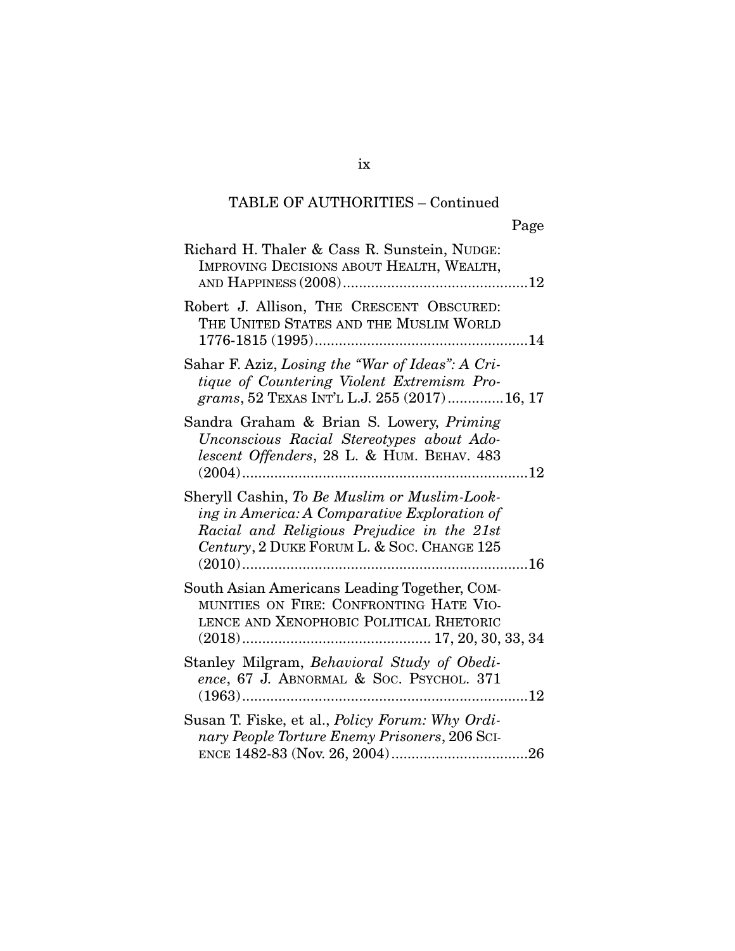| Richard H. Thaler & Cass R. Sunstein, NUDGE:<br>IMPROVING DECISIONS ABOUT HEALTH, WEALTH,                                                                                                |
|------------------------------------------------------------------------------------------------------------------------------------------------------------------------------------------|
| Robert J. Allison, THE CRESCENT OBSCURED:<br>THE UNITED STATES AND THE MUSLIM WORLD                                                                                                      |
| Sahar F. Aziz, Losing the "War of Ideas": A Cri-<br>tique of Countering Violent Extremism Pro-<br>grams, 52 TEXAS INT'L L.J. 255 (2017) 16, 17                                           |
| Sandra Graham & Brian S. Lowery, Priming<br>Unconscious Racial Stereotypes about Ado-<br>lescent Offenders, 28 L. & HUM. BEHAV. 483                                                      |
| Sheryll Cashin, To Be Muslim or Muslim-Look-<br>ing in America: A Comparative Exploration of<br>Racial and Religious Prejudice in the 21st<br>Century, 2 DUKE FORUM L. & SOC. CHANGE 125 |
| South Asian Americans Leading Together, COM-<br>MUNITIES ON FIRE: CONFRONTING HATE VIO-<br>LENCE AND XENOPHOBIC POLITICAL RHETORIC                                                       |
| Stanley Milgram, Behavioral Study of Obedi-<br>ence, 67 J. ABNORMAL & Soc. PSYCHOL. 371                                                                                                  |
| Susan T. Fiske, et al., <i>Policy Forum: Why Ordi-</i><br>nary People Torture Enemy Prisoners, 206 SCI-                                                                                  |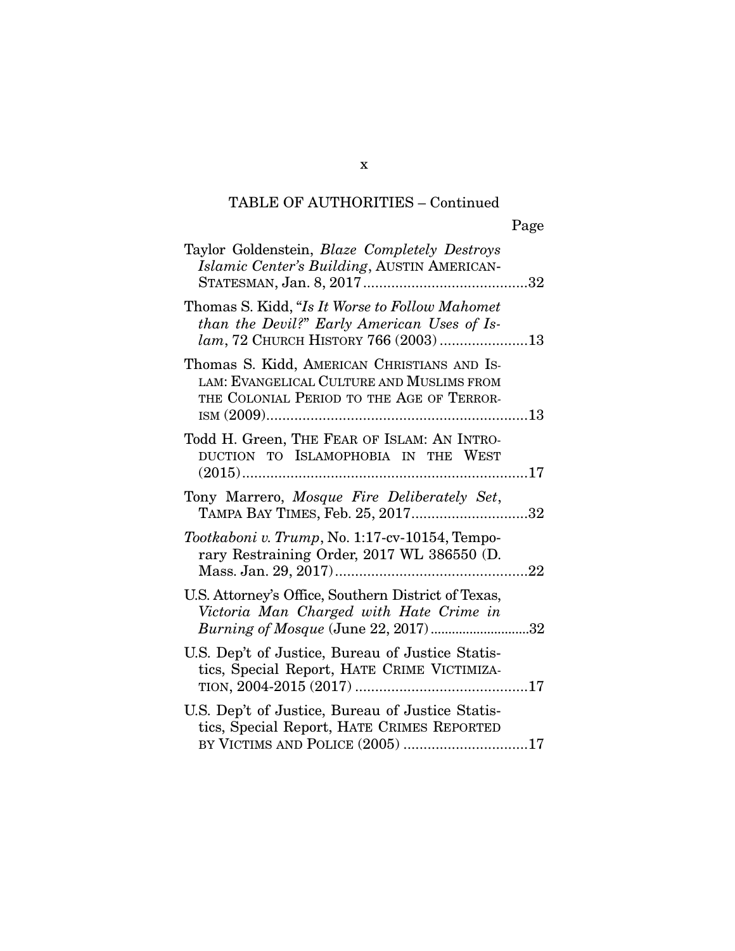| Taylor Goldenstein, <i>Blaze Completely Destroys</i><br>Islamic Center's Building, AUSTIN AMERICAN-                                           |
|-----------------------------------------------------------------------------------------------------------------------------------------------|
| Thomas S. Kidd, "Is It Worse to Follow Mahomet"<br>than the Devil?" Early American Uses of Is-<br>$lam$ , 72 CHURCH HISTORY 766 (2003)13      |
| Thomas S. Kidd, AMERICAN CHRISTIANS AND IS-<br>LAM: EVANGELICAL CULTURE AND MUSLIMS FROM<br>THE COLONIAL PERIOD TO THE AGE OF TERROR-         |
| Todd H. Green, THE FEAR OF ISLAM: AN INTRO-<br>DUCTION TO ISLAMOPHOBIA IN THE WEST                                                            |
| Tony Marrero, Mosque Fire Deliberately Set,<br>TAMPA BAY TIMES, Feb. 25, 201732                                                               |
| Tootkaboni v. Trump, No. 1:17-cv-10154, Tempo-<br>rary Restraining Order, 2017 WL 386550 (D.                                                  |
| U.S. Attorney's Office, Southern District of Texas,<br>Victoria Man Charged with Hate Crime in<br><i>Burning of Mosque</i> (June 22, 2017) 32 |
| U.S. Dep't of Justice, Bureau of Justice Statis-<br>tics, Special Report, HATE CRIME VICTIMIZA-                                               |
| U.S. Dep't of Justice, Bureau of Justice Statis-<br>tics, Special Report, HATE CRIMES REPORTED<br>BY VICTIMS AND POLICE (2005) 17             |

x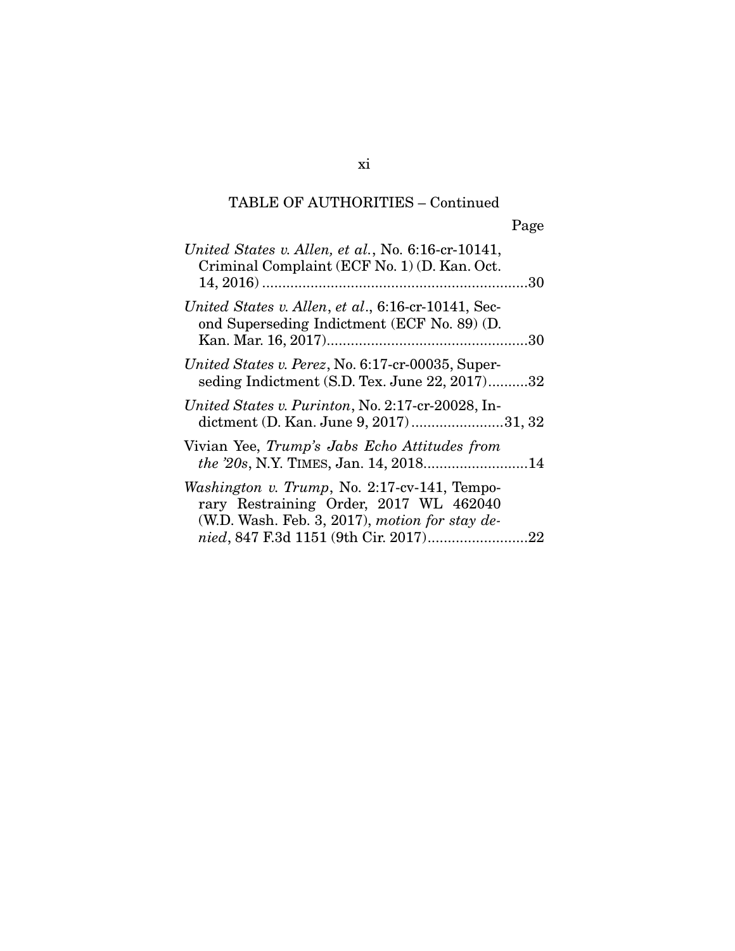| United States v. Allen, et al., No. $6:16$ -cr-10141,<br>Criminal Complaint (ECF No. 1) (D. Kan. Oct.                                      |  |
|--------------------------------------------------------------------------------------------------------------------------------------------|--|
| United States v. Allen, et al., 6:16-cr-10141, Sec-<br>ond Superseding Indictment (ECF No. 89) (D.                                         |  |
| United States v. Perez, No. 6:17-cr-00035, Super-<br>seding Indictment (S.D. Tex. June 22, 2017)32                                         |  |
| United States v. Purinton, No. 2:17-cr-20028, In-<br>dictment (D. Kan. June 9, 2017)31, 32                                                 |  |
| Vivian Yee, Trump's Jabs Echo Attitudes from                                                                                               |  |
| Washington v. Trump, No. 2:17-cv-141, Tempo-<br>rary Restraining Order, 2017 WL 462040<br>(W.D. Wash. Feb. 3, 2017), motion for stay $de-$ |  |
|                                                                                                                                            |  |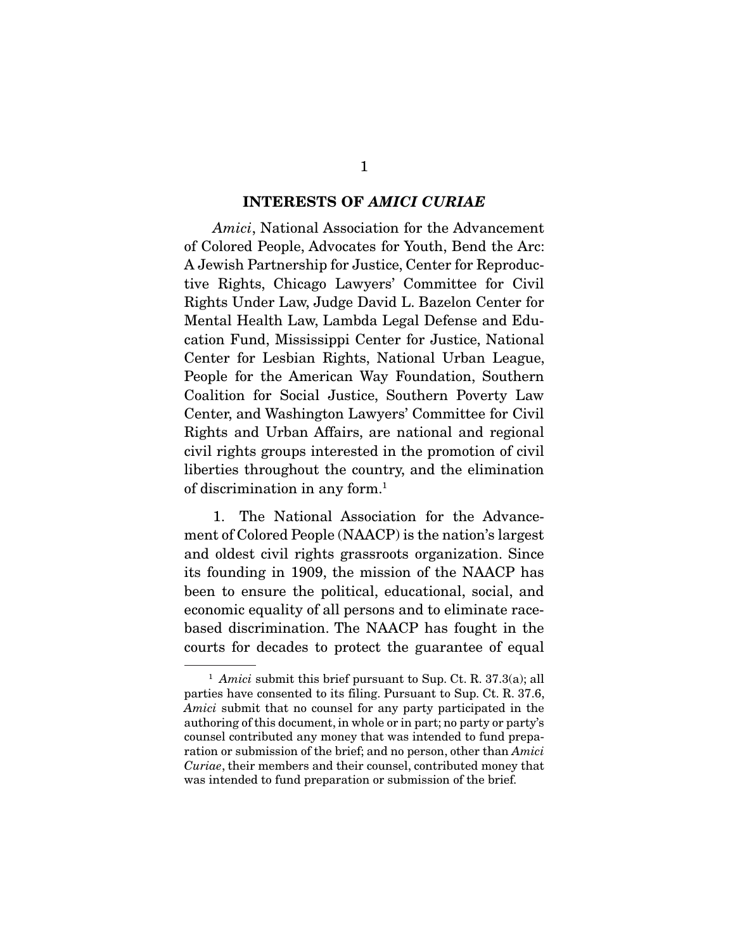#### INTERESTS OF *AMICI CURIAE*

*Amici*, National Association for the Advancement of Colored People, Advocates for Youth, Bend the Arc: A Jewish Partnership for Justice, Center for Reproductive Rights, Chicago Lawyers' Committee for Civil Rights Under Law, Judge David L. Bazelon Center for Mental Health Law, Lambda Legal Defense and Education Fund, Mississippi Center for Justice, National Center for Lesbian Rights, National Urban League, People for the American Way Foundation, Southern Coalition for Social Justice, Southern Poverty Law Center, and Washington Lawyers' Committee for Civil Rights and Urban Affairs, are national and regional civil rights groups interested in the promotion of civil liberties throughout the country, and the elimination of discrimination in any form.1

 1. The National Association for the Advancement of Colored People (NAACP) is the nation's largest and oldest civil rights grassroots organization. Since its founding in 1909, the mission of the NAACP has been to ensure the political, educational, social, and economic equality of all persons and to eliminate racebased discrimination. The NAACP has fought in the courts for decades to protect the guarantee of equal

<sup>&</sup>lt;sup>1</sup> *Amici* submit this brief pursuant to Sup. Ct. R. 37.3(a); all parties have consented to its filing. Pursuant to Sup. Ct. R. 37.6, *Amici* submit that no counsel for any party participated in the authoring of this document, in whole or in part; no party or party's counsel contributed any money that was intended to fund preparation or submission of the brief; and no person, other than *Amici Curiae*, their members and their counsel, contributed money that was intended to fund preparation or submission of the brief.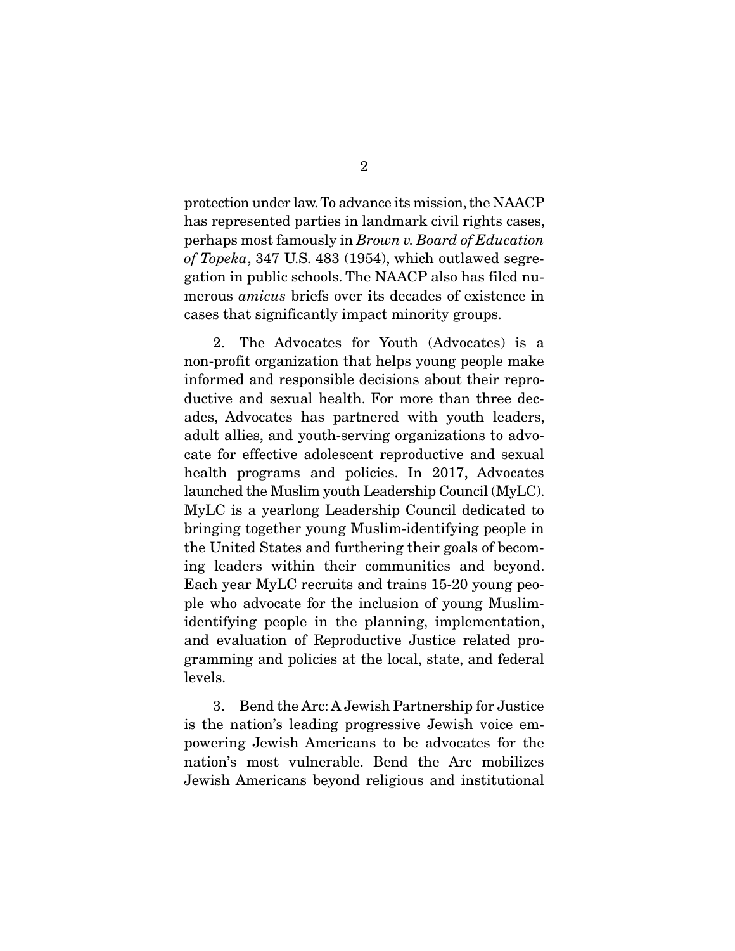protection under law. To advance its mission, the NAACP has represented parties in landmark civil rights cases, perhaps most famously in *Brown v. Board of Education of Topeka*, 347 U.S. 483 (1954), which outlawed segregation in public schools. The NAACP also has filed numerous *amicus* briefs over its decades of existence in cases that significantly impact minority groups.

 2. The Advocates for Youth (Advocates) is a non-profit organization that helps young people make informed and responsible decisions about their reproductive and sexual health. For more than three decades, Advocates has partnered with youth leaders, adult allies, and youth-serving organizations to advocate for effective adolescent reproductive and sexual health programs and policies. In 2017, Advocates launched the Muslim youth Leadership Council (MyLC). MyLC is a yearlong Leadership Council dedicated to bringing together young Muslim-identifying people in the United States and furthering their goals of becoming leaders within their communities and beyond. Each year MyLC recruits and trains 15-20 young people who advocate for the inclusion of young Muslimidentifying people in the planning, implementation, and evaluation of Reproductive Justice related programming and policies at the local, state, and federal levels.

 3. Bend the Arc: A Jewish Partnership for Justice is the nation's leading progressive Jewish voice empowering Jewish Americans to be advocates for the nation's most vulnerable. Bend the Arc mobilizes Jewish Americans beyond religious and institutional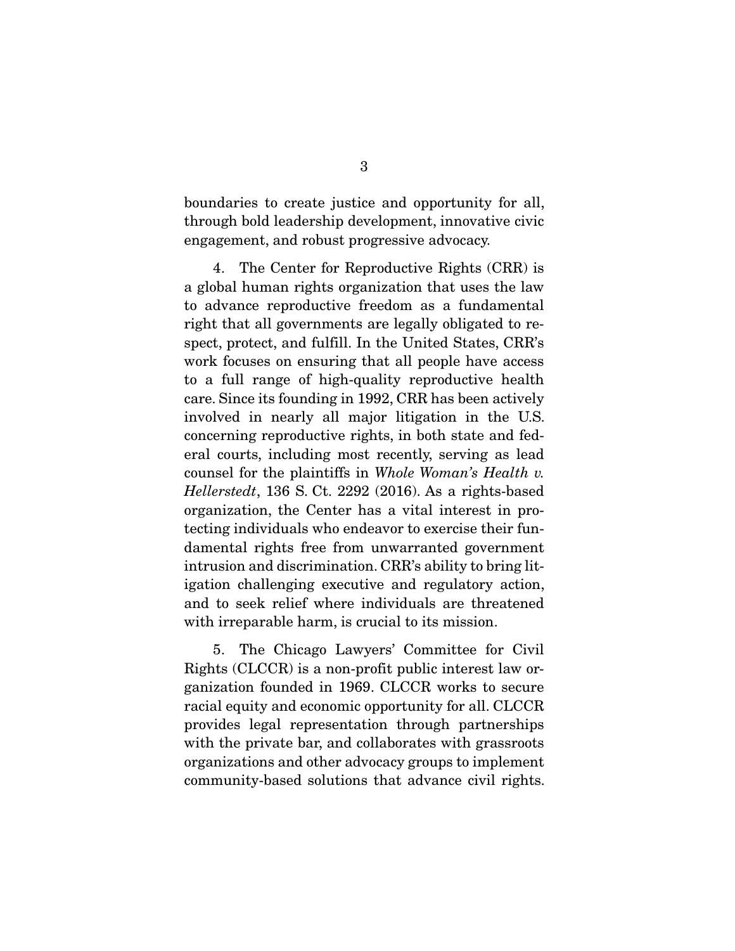boundaries to create justice and opportunity for all, through bold leadership development, innovative civic engagement, and robust progressive advocacy.

 4. The Center for Reproductive Rights (CRR) is a global human rights organization that uses the law to advance reproductive freedom as a fundamental right that all governments are legally obligated to respect, protect, and fulfill. In the United States, CRR's work focuses on ensuring that all people have access to a full range of high-quality reproductive health care. Since its founding in 1992, CRR has been actively involved in nearly all major litigation in the U.S. concerning reproductive rights, in both state and federal courts, including most recently, serving as lead counsel for the plaintiffs in *Whole Woman's Health v. Hellerstedt*, 136 S. Ct. 2292 (2016). As a rights-based organization, the Center has a vital interest in protecting individuals who endeavor to exercise their fundamental rights free from unwarranted government intrusion and discrimination. CRR's ability to bring litigation challenging executive and regulatory action, and to seek relief where individuals are threatened with irreparable harm, is crucial to its mission.

 5. The Chicago Lawyers' Committee for Civil Rights (CLCCR) is a non-profit public interest law organization founded in 1969. CLCCR works to secure racial equity and economic opportunity for all. CLCCR provides legal representation through partnerships with the private bar, and collaborates with grassroots organizations and other advocacy groups to implement community-based solutions that advance civil rights.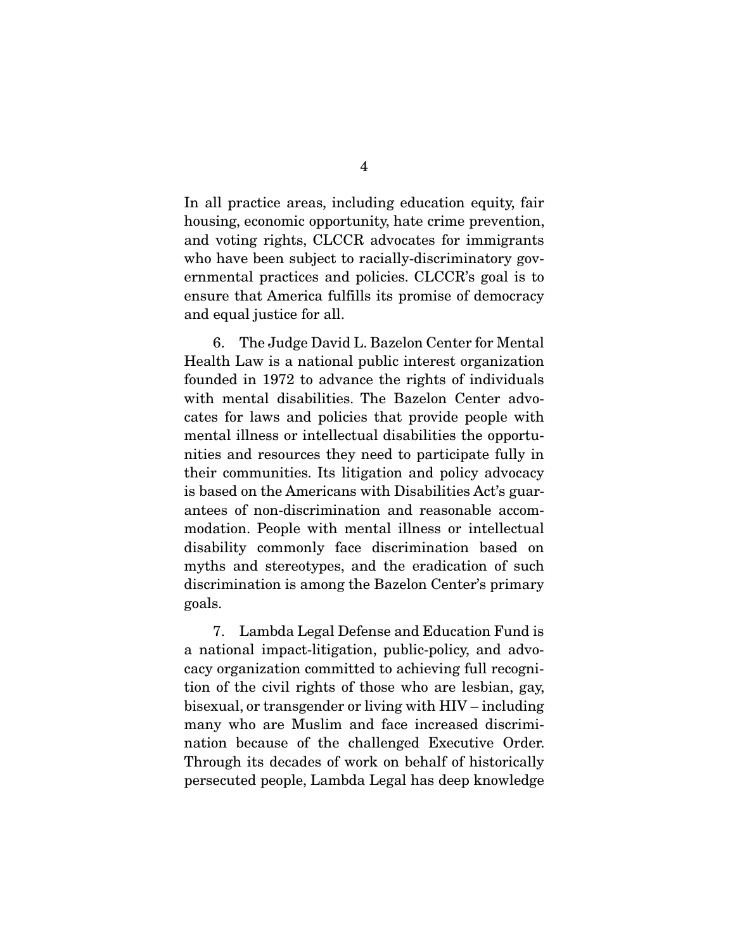In all practice areas, including education equity, fair housing, economic opportunity, hate crime prevention, and voting rights, CLCCR advocates for immigrants who have been subject to racially-discriminatory governmental practices and policies. CLCCR's goal is to ensure that America fulfills its promise of democracy and equal justice for all.

 6. The Judge David L. Bazelon Center for Mental Health Law is a national public interest organization founded in 1972 to advance the rights of individuals with mental disabilities. The Bazelon Center advocates for laws and policies that provide people with mental illness or intellectual disabilities the opportunities and resources they need to participate fully in their communities. Its litigation and policy advocacy is based on the Americans with Disabilities Act's guarantees of non-discrimination and reasonable accommodation. People with mental illness or intellectual disability commonly face discrimination based on myths and stereotypes, and the eradication of such discrimination is among the Bazelon Center's primary goals.

 7. Lambda Legal Defense and Education Fund is a national impact-litigation, public-policy, and advocacy organization committed to achieving full recognition of the civil rights of those who are lesbian, gay, bisexual, or transgender or living with HIV – including many who are Muslim and face increased discrimination because of the challenged Executive Order. Through its decades of work on behalf of historically persecuted people, Lambda Legal has deep knowledge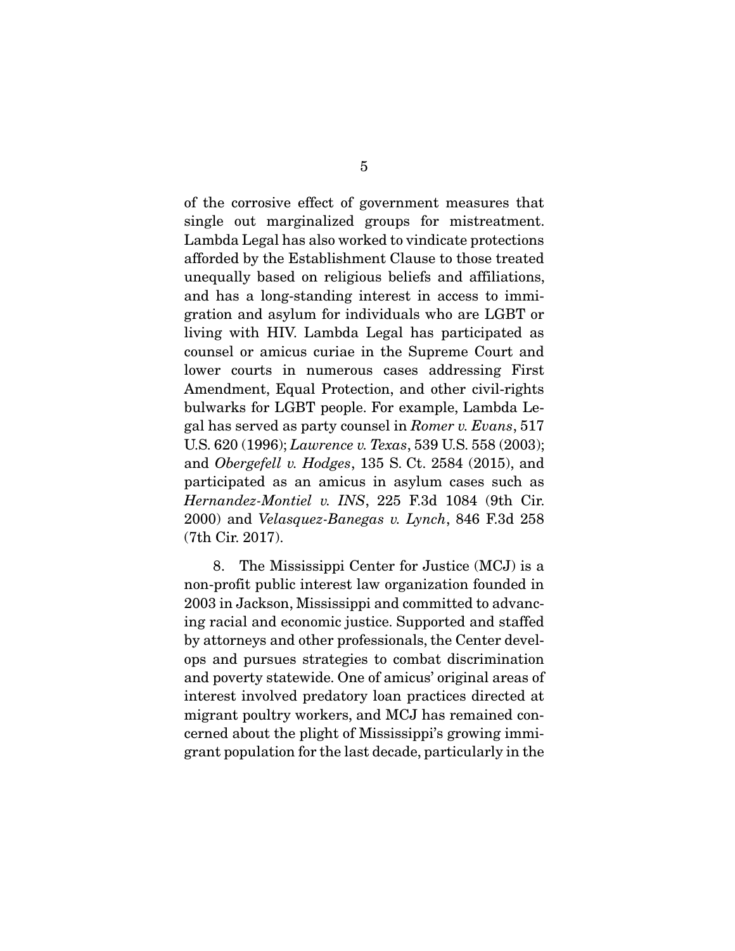of the corrosive effect of government measures that single out marginalized groups for mistreatment. Lambda Legal has also worked to vindicate protections afforded by the Establishment Clause to those treated unequally based on religious beliefs and affiliations, and has a long-standing interest in access to immigration and asylum for individuals who are LGBT or living with HIV. Lambda Legal has participated as counsel or amicus curiae in the Supreme Court and lower courts in numerous cases addressing First Amendment, Equal Protection, and other civil-rights bulwarks for LGBT people. For example, Lambda Legal has served as party counsel in *Romer v. Evans*, 517 U.S. 620 (1996); *Lawrence v. Texas*, 539 U.S. 558 (2003); and *Obergefell v. Hodges*, 135 S. Ct. 2584 (2015), and participated as an amicus in asylum cases such as *Hernandez-Montiel v. INS*, 225 F.3d 1084 (9th Cir. 2000) and *Velasquez-Banegas v. Lynch*, 846 F.3d 258 (7th Cir. 2017).

 8. The Mississippi Center for Justice (MCJ) is a non-profit public interest law organization founded in 2003 in Jackson, Mississippi and committed to advancing racial and economic justice. Supported and staffed by attorneys and other professionals, the Center develops and pursues strategies to combat discrimination and poverty statewide. One of amicus' original areas of interest involved predatory loan practices directed at migrant poultry workers, and MCJ has remained concerned about the plight of Mississippi's growing immigrant population for the last decade, particularly in the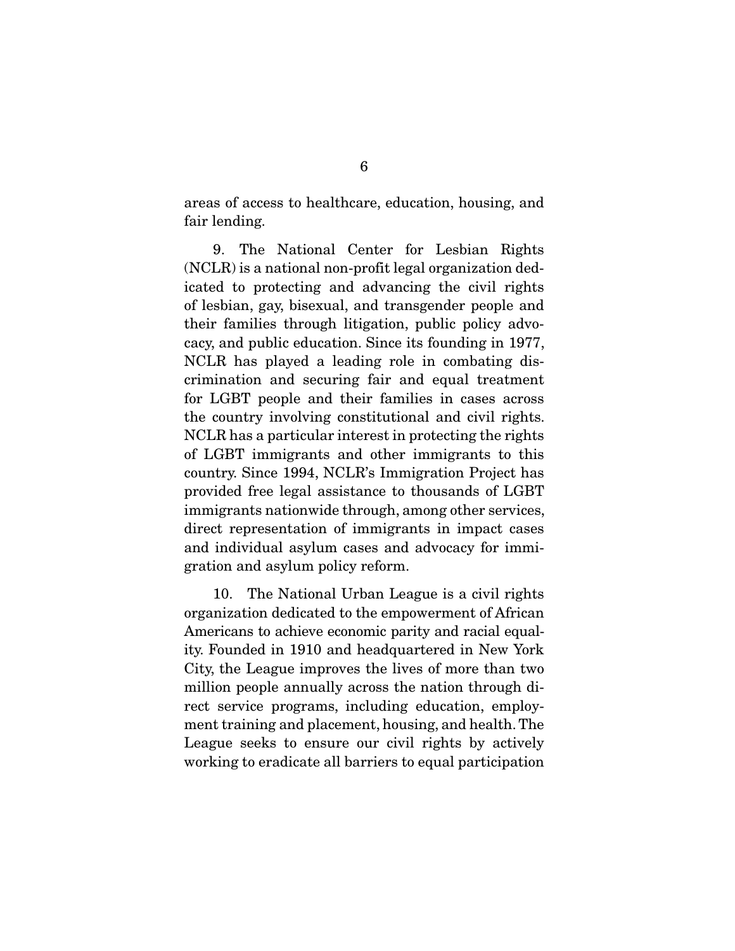areas of access to healthcare, education, housing, and fair lending.

 9. The National Center for Lesbian Rights (NCLR) is a national non-profit legal organization dedicated to protecting and advancing the civil rights of lesbian, gay, bisexual, and transgender people and their families through litigation, public policy advocacy, and public education. Since its founding in 1977, NCLR has played a leading role in combating discrimination and securing fair and equal treatment for LGBT people and their families in cases across the country involving constitutional and civil rights. NCLR has a particular interest in protecting the rights of LGBT immigrants and other immigrants to this country. Since 1994, NCLR's Immigration Project has provided free legal assistance to thousands of LGBT immigrants nationwide through, among other services, direct representation of immigrants in impact cases and individual asylum cases and advocacy for immigration and asylum policy reform.

 10. The National Urban League is a civil rights organization dedicated to the empowerment of African Americans to achieve economic parity and racial equality. Founded in 1910 and headquartered in New York City, the League improves the lives of more than two million people annually across the nation through direct service programs, including education, employment training and placement, housing, and health. The League seeks to ensure our civil rights by actively working to eradicate all barriers to equal participation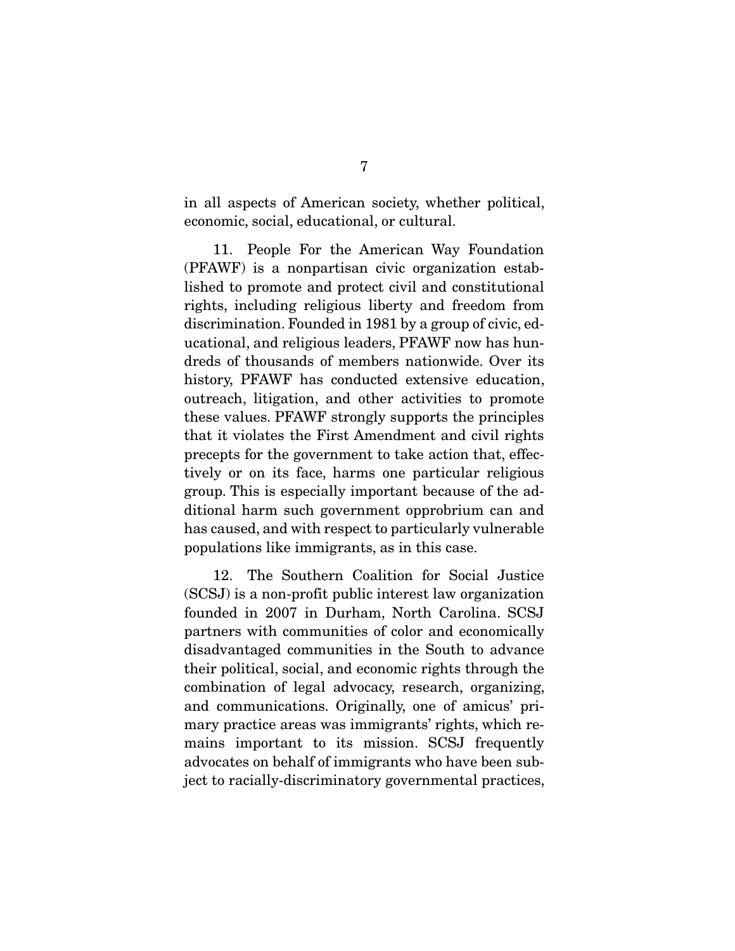in all aspects of American society, whether political, economic, social, educational, or cultural.

 11. People For the American Way Foundation (PFAWF) is a nonpartisan civic organization established to promote and protect civil and constitutional rights, including religious liberty and freedom from discrimination. Founded in 1981 by a group of civic, educational, and religious leaders, PFAWF now has hundreds of thousands of members nationwide. Over its history, PFAWF has conducted extensive education, outreach, litigation, and other activities to promote these values. PFAWF strongly supports the principles that it violates the First Amendment and civil rights precepts for the government to take action that, effectively or on its face, harms one particular religious group. This is especially important because of the additional harm such government opprobrium can and has caused, and with respect to particularly vulnerable populations like immigrants, as in this case.

 12. The Southern Coalition for Social Justice (SCSJ) is a non-profit public interest law organization founded in 2007 in Durham, North Carolina. SCSJ partners with communities of color and economically disadvantaged communities in the South to advance their political, social, and economic rights through the combination of legal advocacy, research, organizing, and communications. Originally, one of amicus' primary practice areas was immigrants' rights, which remains important to its mission. SCSJ frequently advocates on behalf of immigrants who have been subject to racially-discriminatory governmental practices,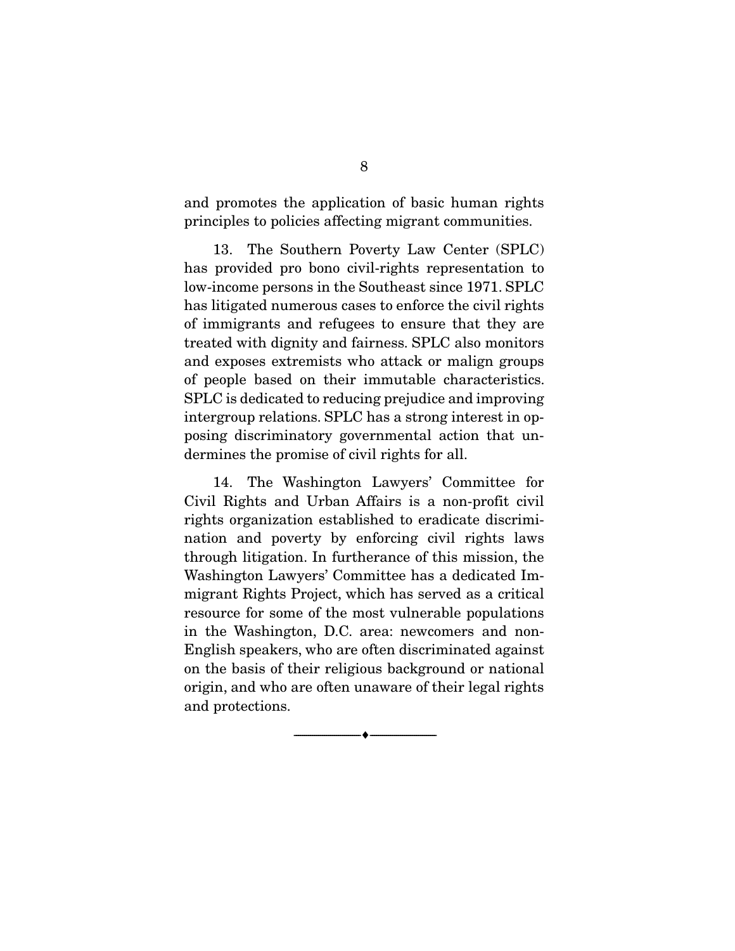and promotes the application of basic human rights principles to policies affecting migrant communities.

 13. The Southern Poverty Law Center (SPLC) has provided pro bono civil-rights representation to low-income persons in the Southeast since 1971. SPLC has litigated numerous cases to enforce the civil rights of immigrants and refugees to ensure that they are treated with dignity and fairness. SPLC also monitors and exposes extremists who attack or malign groups of people based on their immutable characteristics. SPLC is dedicated to reducing prejudice and improving intergroup relations. SPLC has a strong interest in opposing discriminatory governmental action that undermines the promise of civil rights for all.

 14. The Washington Lawyers' Committee for Civil Rights and Urban Affairs is a non-profit civil rights organization established to eradicate discrimination and poverty by enforcing civil rights laws through litigation. In furtherance of this mission, the Washington Lawyers' Committee has a dedicated Immigrant Rights Project, which has served as a critical resource for some of the most vulnerable populations in the Washington, D.C. area: newcomers and non-English speakers, who are often discriminated against on the basis of their religious background or national origin, and who are often unaware of their legal rights and protections.

--------------------------------- ---------------------------------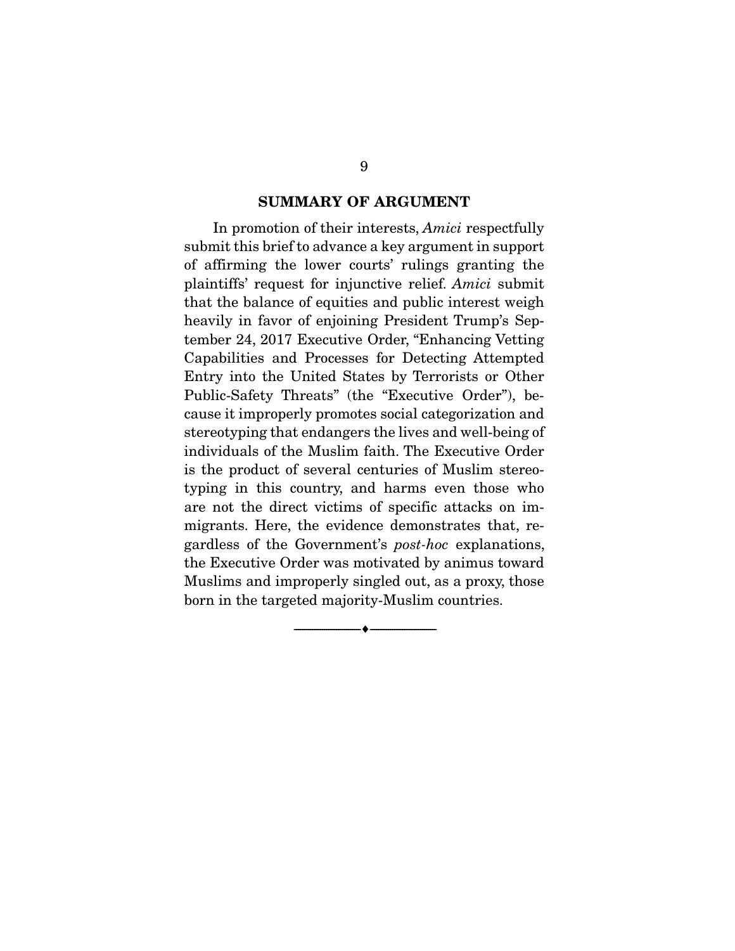#### SUMMARY OF ARGUMENT

 In promotion of their interests, *Amici* respectfully submit this brief to advance a key argument in support of affirming the lower courts' rulings granting the plaintiffs' request for injunctive relief. *Amici* submit that the balance of equities and public interest weigh heavily in favor of enjoining President Trump's September 24, 2017 Executive Order, "Enhancing Vetting Capabilities and Processes for Detecting Attempted Entry into the United States by Terrorists or Other Public-Safety Threats" (the "Executive Order"), because it improperly promotes social categorization and stereotyping that endangers the lives and well-being of individuals of the Muslim faith. The Executive Order is the product of several centuries of Muslim stereotyping in this country, and harms even those who are not the direct victims of specific attacks on immigrants. Here, the evidence demonstrates that, regardless of the Government's *post-hoc* explanations, the Executive Order was motivated by animus toward Muslims and improperly singled out, as a proxy, those born in the targeted majority-Muslim countries.

--------------------------------- ---------------------------------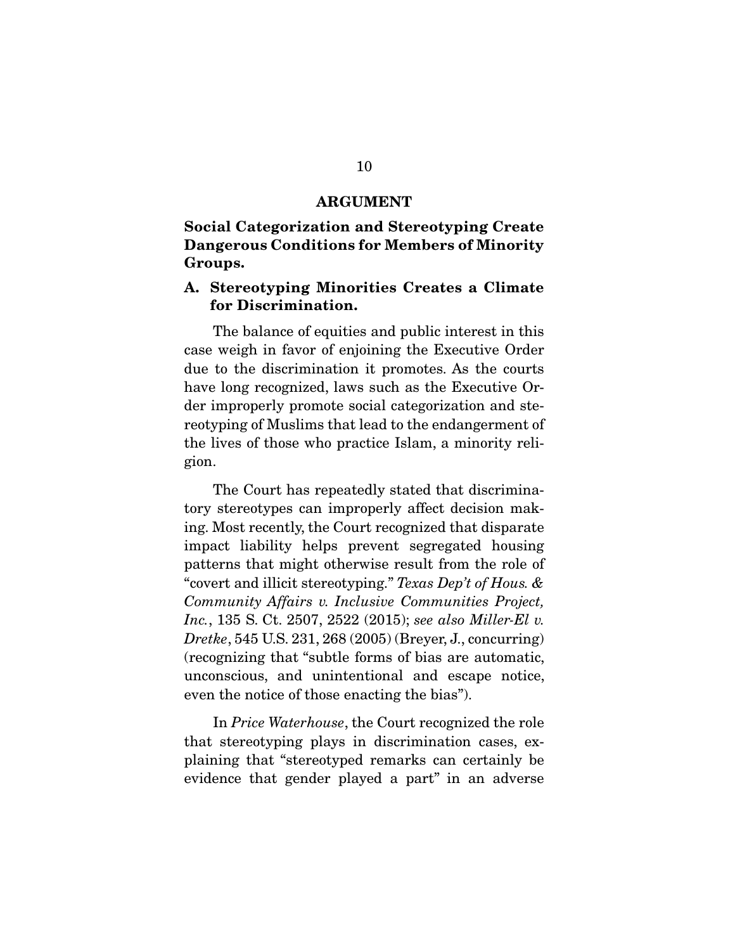#### ARGUMENT

#### Social Categorization and Stereotyping Create Dangerous Conditions for Members of Minority Groups.

#### A. Stereotyping Minorities Creates a Climate for Discrimination.

 The balance of equities and public interest in this case weigh in favor of enjoining the Executive Order due to the discrimination it promotes. As the courts have long recognized, laws such as the Executive Order improperly promote social categorization and stereotyping of Muslims that lead to the endangerment of the lives of those who practice Islam, a minority religion.

 The Court has repeatedly stated that discriminatory stereotypes can improperly affect decision making. Most recently, the Court recognized that disparate impact liability helps prevent segregated housing patterns that might otherwise result from the role of "covert and illicit stereotyping." *Texas Dep't of Hous. & Community Affairs v. Inclusive Communities Project, Inc.*, 135 S. Ct. 2507, 2522 (2015); *see also Miller-El v. Dretke*, 545 U.S. 231, 268 (2005) (Breyer, J., concurring) (recognizing that "subtle forms of bias are automatic, unconscious, and unintentional and escape notice, even the notice of those enacting the bias").

 In *Price Waterhouse*, the Court recognized the role that stereotyping plays in discrimination cases, explaining that "stereotyped remarks can certainly be evidence that gender played a part" in an adverse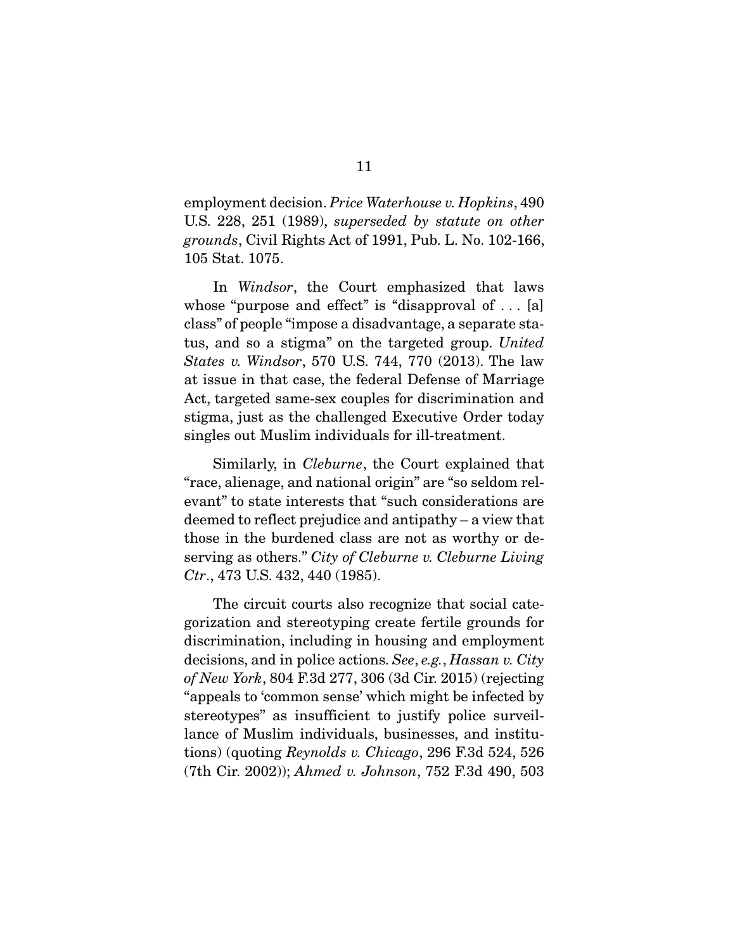employment decision. *Price Waterhouse v. Hopkins*, 490 U.S. 228, 251 (1989), *superseded by statute on other grounds*, Civil Rights Act of 1991, Pub. L. No. 102-166, 105 Stat. 1075.

 In *Windsor*, the Court emphasized that laws whose "purpose and effect" is "disapproval of ... [a] class" of people "impose a disadvantage, a separate status, and so a stigma" on the targeted group. *United States v. Windsor*, 570 U.S. 744, 770 (2013). The law at issue in that case, the federal Defense of Marriage Act, targeted same-sex couples for discrimination and stigma, just as the challenged Executive Order today singles out Muslim individuals for ill-treatment.

 Similarly, in *Cleburne*, the Court explained that "race, alienage, and national origin" are "so seldom relevant" to state interests that "such considerations are deemed to reflect prejudice and antipathy – a view that those in the burdened class are not as worthy or deserving as others." *City of Cleburne v. Cleburne Living Ctr*., 473 U.S. 432, 440 (1985).

 The circuit courts also recognize that social categorization and stereotyping create fertile grounds for discrimination, including in housing and employment decisions, and in police actions. *See*, *e.g.*, *Hassan v. City of New York*, 804 F.3d 277, 306 (3d Cir. 2015) (rejecting "appeals to 'common sense' which might be infected by stereotypes" as insufficient to justify police surveillance of Muslim individuals, businesses, and institutions) (quoting *Reynolds v. Chicago*, 296 F.3d 524, 526 (7th Cir. 2002)); *Ahmed v. Johnson*, 752 F.3d 490, 503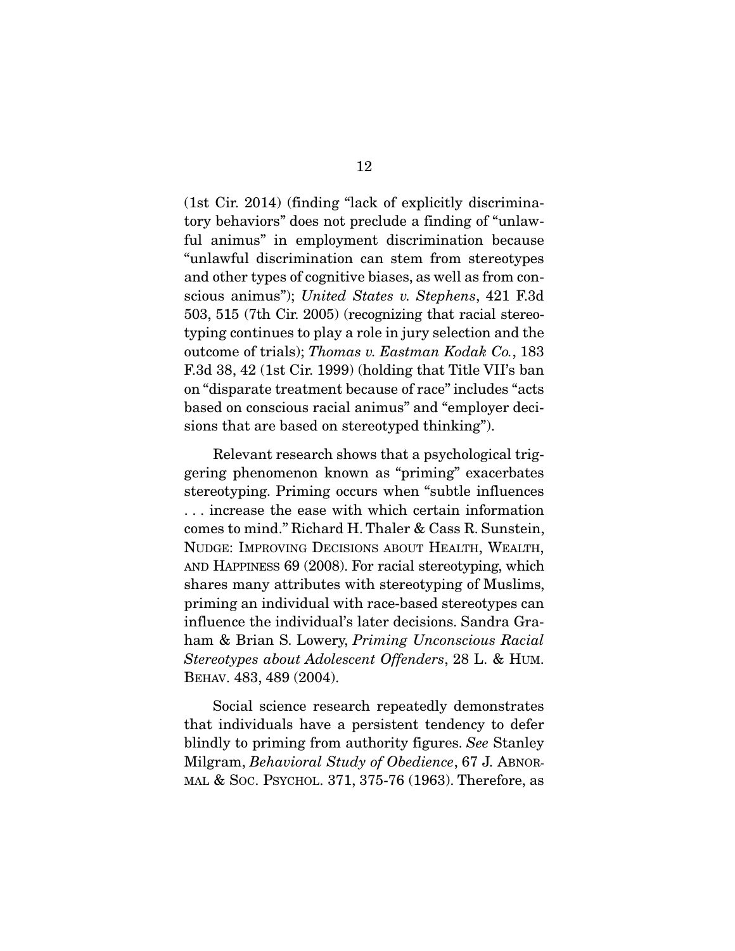(1st Cir. 2014) (finding "lack of explicitly discriminatory behaviors" does not preclude a finding of "unlawful animus" in employment discrimination because "unlawful discrimination can stem from stereotypes and other types of cognitive biases, as well as from conscious animus"); *United States v. Stephens*, 421 F.3d 503, 515 (7th Cir. 2005) (recognizing that racial stereotyping continues to play a role in jury selection and the outcome of trials); *Thomas v. Eastman Kodak Co.*, 183 F.3d 38, 42 (1st Cir. 1999) (holding that Title VII's ban on "disparate treatment because of race" includes "acts based on conscious racial animus" and "employer decisions that are based on stereotyped thinking").

 Relevant research shows that a psychological triggering phenomenon known as "priming" exacerbates stereotyping. Priming occurs when "subtle influences . . . increase the ease with which certain information comes to mind." Richard H. Thaler & Cass R. Sunstein, NUDGE: IMPROVING DECISIONS ABOUT HEALTH, WEALTH, AND HAPPINESS 69 (2008). For racial stereotyping, which shares many attributes with stereotyping of Muslims, priming an individual with race-based stereotypes can influence the individual's later decisions. Sandra Graham & Brian S. Lowery, *Priming Unconscious Racial Stereotypes about Adolescent Offenders*, 28 L. & HUM. BEHAV. 483, 489 (2004).

 Social science research repeatedly demonstrates that individuals have a persistent tendency to defer blindly to priming from authority figures. *See* Stanley Milgram, *Behavioral Study of Obedience*, 67 J. ABNOR-MAL & SOC. PSYCHOL. 371, 375-76 (1963). Therefore, as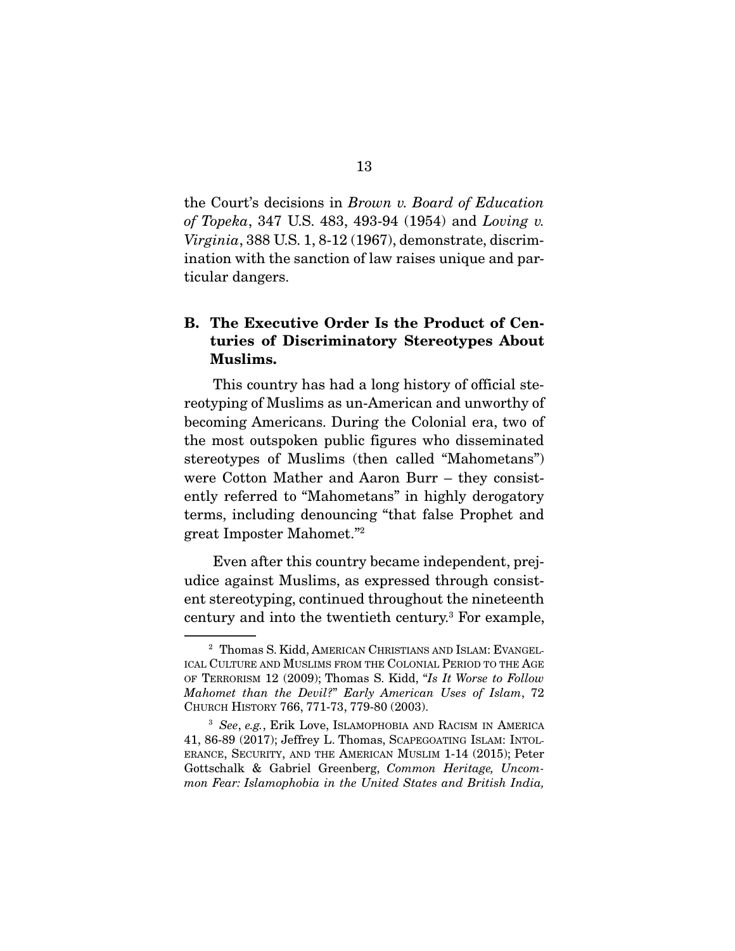the Court's decisions in *Brown v. Board of Education of Topeka*, 347 U.S. 483, 493-94 (1954) and *Loving v. Virginia*, 388 U.S. 1, 8-12 (1967), demonstrate, discrimination with the sanction of law raises unique and particular dangers.

### B. The Executive Order Is the Product of Centuries of Discriminatory Stereotypes About Muslims.

 This country has had a long history of official stereotyping of Muslims as un-American and unworthy of becoming Americans. During the Colonial era, two of the most outspoken public figures who disseminated stereotypes of Muslims (then called "Mahometans") were Cotton Mather and Aaron Burr – they consistently referred to "Mahometans" in highly derogatory terms, including denouncing "that false Prophet and great Imposter Mahomet."2

 Even after this country became independent, prejudice against Muslims, as expressed through consistent stereotyping, continued throughout the nineteenth century and into the twentieth century.3 For example,

<sup>2</sup> Thomas S. Kidd, AMERICAN CHRISTIANS AND ISLAM: EVANGEL-ICAL CULTURE AND MUSLIMS FROM THE COLONIAL PERIOD TO THE AGE OF TERRORISM 12 (2009); Thomas S. Kidd, "*Is It Worse to Follow Mahomet than the Devil?*" *Early American Uses of Islam*, 72 CHURCH HISTORY 766, 771-73, 779-80 (2003).

<sup>3</sup> *See*, *e.g.*, Erik Love, ISLAMOPHOBIA AND RACISM IN AMERICA 41, 86-89 (2017); Jeffrey L. Thomas, SCAPEGOATING ISLAM: INTOL-ERANCE, SECURITY, AND THE AMERICAN MUSLIM 1-14 (2015); Peter Gottschalk & Gabriel Greenberg, *Common Heritage, Uncommon Fear: Islamophobia in the United States and British India,*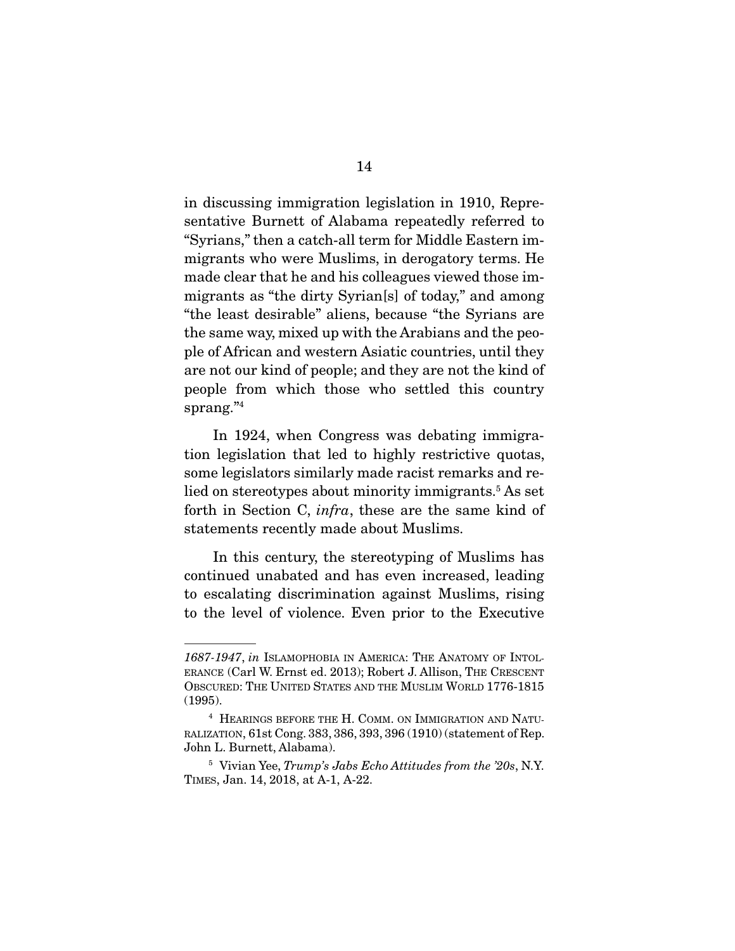in discussing immigration legislation in 1910, Representative Burnett of Alabama repeatedly referred to "Syrians," then a catch-all term for Middle Eastern immigrants who were Muslims, in derogatory terms. He made clear that he and his colleagues viewed those immigrants as "the dirty Syrian[s] of today," and among "the least desirable" aliens, because "the Syrians are the same way, mixed up with the Arabians and the people of African and western Asiatic countries, until they are not our kind of people; and they are not the kind of people from which those who settled this country sprang." $4$ 

 In 1924, when Congress was debating immigration legislation that led to highly restrictive quotas, some legislators similarly made racist remarks and relied on stereotypes about minority immigrants.<sup>5</sup> As set forth in Section C, *infra*, these are the same kind of statements recently made about Muslims.

 In this century, the stereotyping of Muslims has continued unabated and has even increased, leading to escalating discrimination against Muslims, rising to the level of violence. Even prior to the Executive

*<sup>1687-1947</sup>*, *in* ISLAMOPHOBIA IN AMERICA: THE ANATOMY OF INTOL-ERANCE (Carl W. Ernst ed. 2013); Robert J. Allison, THE CRESCENT OBSCURED: THE UNITED STATES AND THE MUSLIM WORLD 1776-1815 (1995).

<sup>4</sup> HEARINGS BEFORE THE H. COMM. ON IMMIGRATION AND NATU-RALIZATION, 61st Cong. 383, 386, 393, 396 (1910) (statement of Rep. John L. Burnett, Alabama).

<sup>5</sup> Vivian Yee, *Trump's Jabs Echo Attitudes from the '20s*, N.Y. TIMES, Jan. 14, 2018, at A-1, A-22.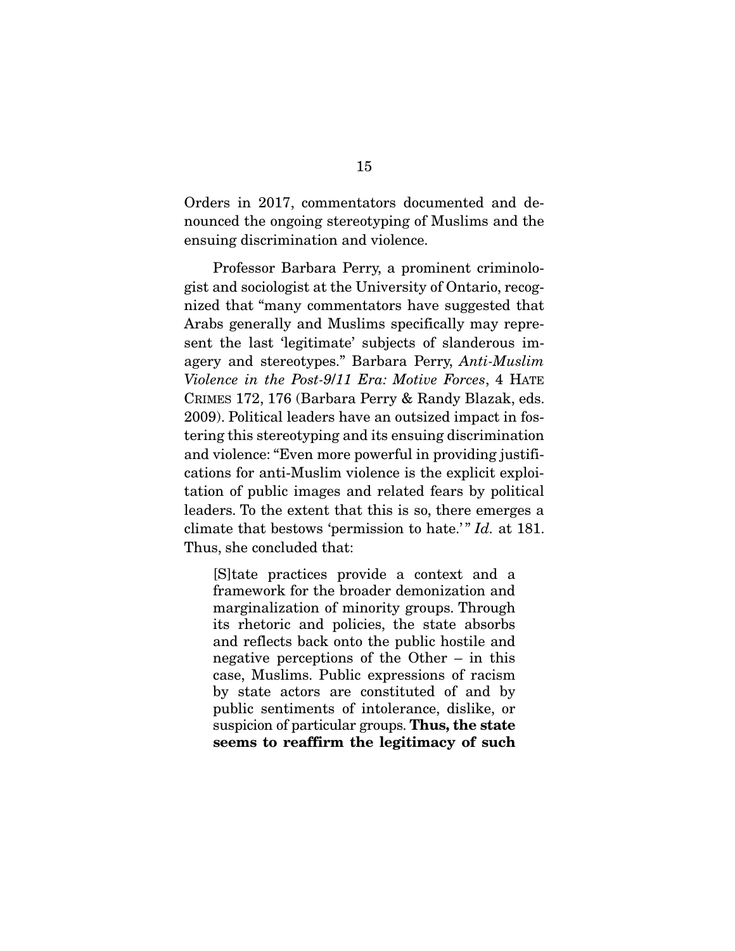Orders in 2017, commentators documented and denounced the ongoing stereotyping of Muslims and the ensuing discrimination and violence.

 Professor Barbara Perry, a prominent criminologist and sociologist at the University of Ontario, recognized that "many commentators have suggested that Arabs generally and Muslims specifically may represent the last 'legitimate' subjects of slanderous imagery and stereotypes." Barbara Perry, *Anti-Muslim Violence in the Post-9*/*11 Era: Motive Forces*, 4 HATE CRIMES 172, 176 (Barbara Perry & Randy Blazak, eds. 2009). Political leaders have an outsized impact in fostering this stereotyping and its ensuing discrimination and violence: "Even more powerful in providing justifications for anti-Muslim violence is the explicit exploitation of public images and related fears by political leaders. To the extent that this is so, there emerges a climate that bestows 'permission to hate.'" *Id.* at 181. Thus, she concluded that:

[S]tate practices provide a context and a framework for the broader demonization and marginalization of minority groups. Through its rhetoric and policies, the state absorbs and reflects back onto the public hostile and negative perceptions of the Other – in this case, Muslims. Public expressions of racism by state actors are constituted of and by public sentiments of intolerance, dislike, or suspicion of particular groups. Thus, the state seems to reaffirm the legitimacy of such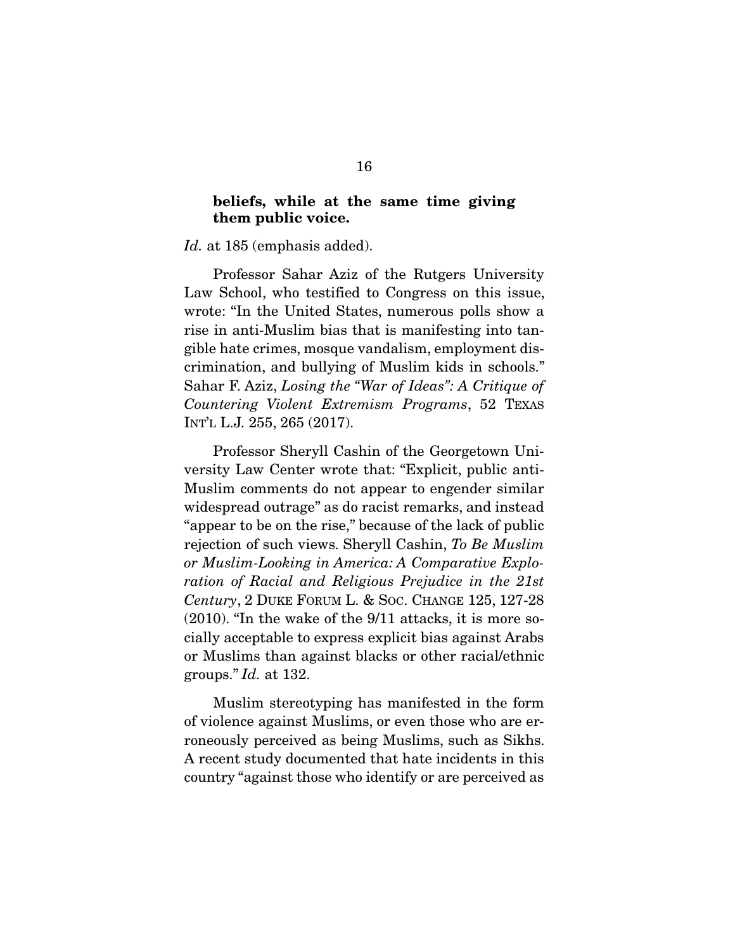#### beliefs, while at the same time giving them public voice.

*Id.* at 185 (emphasis added).

 Professor Sahar Aziz of the Rutgers University Law School, who testified to Congress on this issue, wrote: "In the United States, numerous polls show a rise in anti-Muslim bias that is manifesting into tangible hate crimes, mosque vandalism, employment discrimination, and bullying of Muslim kids in schools." Sahar F. Aziz, *Losing the "War of Ideas": A Critique of Countering Violent Extremism Programs*, 52 TEXAS INT'L L.J. 255, 265 (2017).

 Professor Sheryll Cashin of the Georgetown University Law Center wrote that: "Explicit, public anti-Muslim comments do not appear to engender similar widespread outrage" as do racist remarks, and instead "appear to be on the rise," because of the lack of public rejection of such views. Sheryll Cashin, *To Be Muslim or Muslim-Looking in America: A Comparative Exploration of Racial and Religious Prejudice in the 21st Century*, 2 DUKE FORUM L. & SOC. CHANGE 125, 127-28 (2010). "In the wake of the 9/11 attacks, it is more socially acceptable to express explicit bias against Arabs or Muslims than against blacks or other racial/ethnic groups." *Id.* at 132.

 Muslim stereotyping has manifested in the form of violence against Muslims, or even those who are erroneously perceived as being Muslims, such as Sikhs. A recent study documented that hate incidents in this country "against those who identify or are perceived as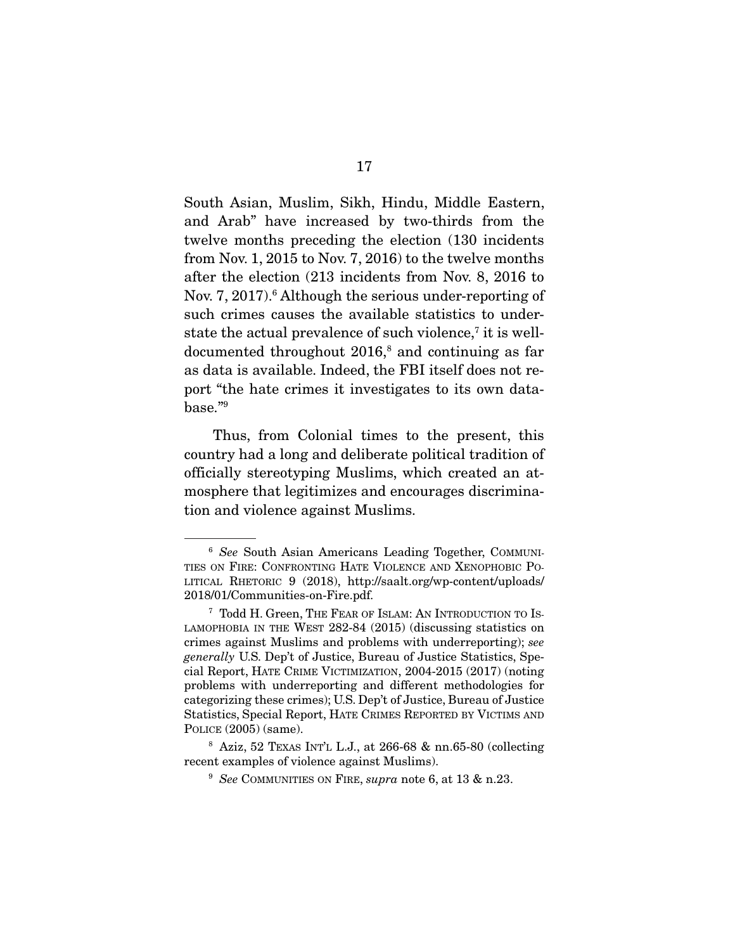South Asian, Muslim, Sikh, Hindu, Middle Eastern, and Arab" have increased by two-thirds from the twelve months preceding the election (130 incidents from Nov. 1, 2015 to Nov. 7, 2016) to the twelve months after the election (213 incidents from Nov. 8, 2016 to Nov. 7, 2017).<sup>6</sup> Although the serious under-reporting of such crimes causes the available statistics to understate the actual prevalence of such violence,<sup>7</sup> it is welldocumented throughout 2016,<sup>8</sup> and continuing as far as data is available. Indeed, the FBI itself does not report "the hate crimes it investigates to its own data- $\mathrm{base}$ ." $^9$ 

 Thus, from Colonial times to the present, this country had a long and deliberate political tradition of officially stereotyping Muslims, which created an atmosphere that legitimizes and encourages discrimination and violence against Muslims.

<sup>6</sup> *See* South Asian Americans Leading Together, COMMUNI-TIES ON FIRE: CONFRONTING HATE VIOLENCE AND XENOPHOBIC PO-LITICAL RHETORIC 9 (2018), http://saalt.org/wp-content/uploads/ 2018/01/Communities-on-Fire.pdf.

<sup>7</sup> Todd H. Green, THE FEAR OF ISLAM: AN INTRODUCTION TO IS-LAMOPHOBIA IN THE WEST 282-84 (2015) (discussing statistics on crimes against Muslims and problems with underreporting); *see generally* U.S. Dep't of Justice, Bureau of Justice Statistics, Special Report, HATE CRIME VICTIMIZATION, 2004-2015 (2017) (noting problems with underreporting and different methodologies for categorizing these crimes); U.S. Dep't of Justice, Bureau of Justice Statistics, Special Report, HATE CRIMES REPORTED BY VICTIMS AND POLICE (2005) (same).

<sup>8</sup> Aziz, 52 TEXAS INT'L L.J., at 266-68 & nn.65-80 (collecting recent examples of violence against Muslims).

<sup>9</sup> *See* COMMUNITIES ON FIRE, *supra* note 6, at 13 & n.23.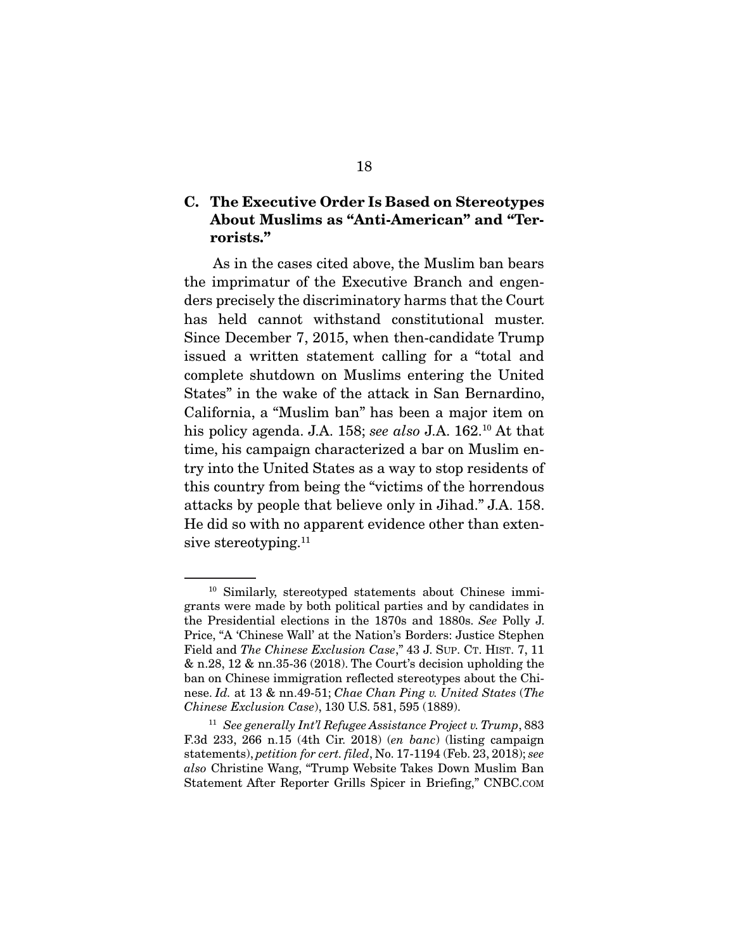#### C. The Executive Order Is Based on Stereotypes About Muslims as "Anti-American" and "Terrorists."

 As in the cases cited above, the Muslim ban bears the imprimatur of the Executive Branch and engenders precisely the discriminatory harms that the Court has held cannot withstand constitutional muster. Since December 7, 2015, when then-candidate Trump issued a written statement calling for a "total and complete shutdown on Muslims entering the United States" in the wake of the attack in San Bernardino, California, a "Muslim ban" has been a major item on his policy agenda. J.A. 158; *see also* J.A. 162.10 At that time, his campaign characterized a bar on Muslim entry into the United States as a way to stop residents of this country from being the "victims of the horrendous attacks by people that believe only in Jihad." J.A. 158. He did so with no apparent evidence other than extensive stereotyping.<sup>11</sup>

<sup>10</sup> Similarly, stereotyped statements about Chinese immigrants were made by both political parties and by candidates in the Presidential elections in the 1870s and 1880s. *See* Polly J. Price, "A 'Chinese Wall' at the Nation's Borders: Justice Stephen Field and *The Chinese Exclusion Case*," 43 J. SUP. CT. HIST. 7, 11 & n.28, 12 & nn.35-36 (2018). The Court's decision upholding the ban on Chinese immigration reflected stereotypes about the Chinese. *Id.* at 13 & nn.49-51; *Chae Chan Ping v. United States* (*The Chinese Exclusion Case*), 130 U.S. 581, 595 (1889).

<sup>11</sup> *See generally Int'l Refugee Assistance Project v. Trump*, 883 F.3d 233, 266 n.15 (4th Cir. 2018) (*en banc*) (listing campaign statements), *petition for cert. filed*, No. 17-1194 (Feb. 23, 2018); *see also* Christine Wang, "Trump Website Takes Down Muslim Ban Statement After Reporter Grills Spicer in Briefing," CNBC.COM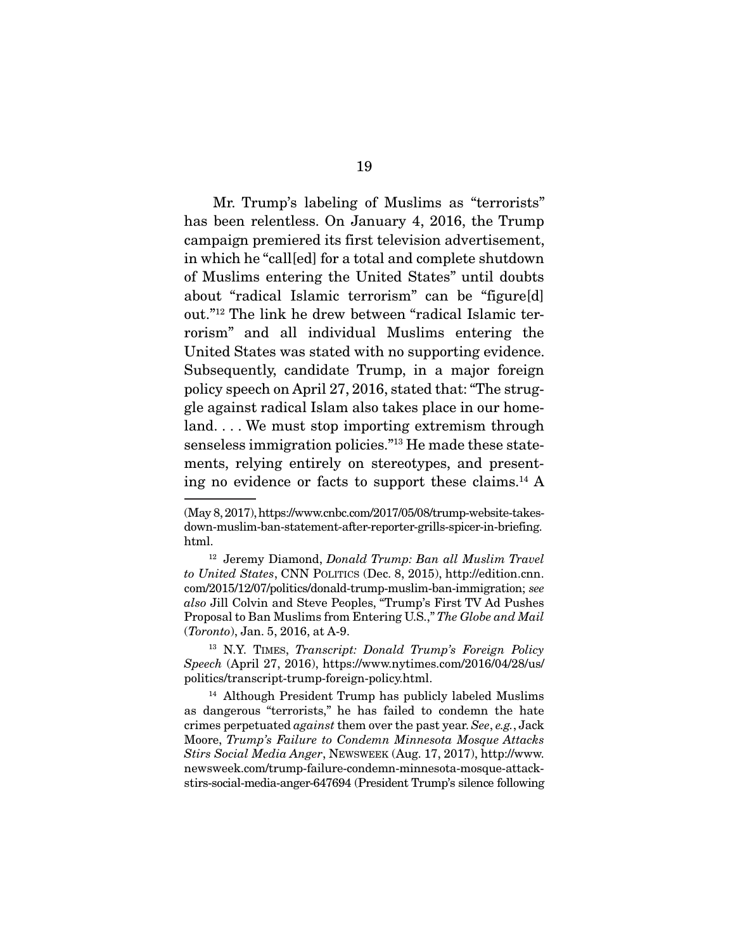Mr. Trump's labeling of Muslims as "terrorists" has been relentless. On January 4, 2016, the Trump campaign premiered its first television advertisement, in which he "call[ed] for a total and complete shutdown of Muslims entering the United States" until doubts about "radical Islamic terrorism" can be "figure[d] out."12 The link he drew between "radical Islamic terrorism" and all individual Muslims entering the United States was stated with no supporting evidence. Subsequently, candidate Trump, in a major foreign policy speech on April 27, 2016, stated that: "The struggle against radical Islam also takes place in our homeland. . . . We must stop importing extremism through senseless immigration policies."13 He made these statements, relying entirely on stereotypes, and presenting no evidence or facts to support these claims.14 A

<sup>(</sup>May 8, 2017), https://www.cnbc.com/2017/05/08/trump-website-takesdown-muslim-ban-statement-after-reporter-grills-spicer-in-briefing. html.

<sup>12</sup> Jeremy Diamond, *Donald Trump: Ban all Muslim Travel to United States*, CNN POLITICS (Dec. 8, 2015), http://edition.cnn. com/2015/12/07/politics/donald-trump-muslim-ban-immigration; *see also* Jill Colvin and Steve Peoples, "Trump's First TV Ad Pushes Proposal to Ban Muslims from Entering U.S.," *The Globe and Mail* (*Toronto*), Jan. 5, 2016, at A-9.

<sup>13</sup> N.Y. TIMES, *Transcript: Donald Trump's Foreign Policy Speech* (April 27, 2016), https://www.nytimes.com/2016/04/28/us/ politics/transcript-trump-foreign-policy.html.

<sup>14</sup> Although President Trump has publicly labeled Muslims as dangerous "terrorists," he has failed to condemn the hate crimes perpetuated *against* them over the past year. *See*, *e.g.*, Jack Moore, *Trump's Failure to Condemn Minnesota Mosque Attacks Stirs Social Media Anger*, NEWSWEEK (Aug. 17, 2017), http://www. newsweek.com/trump-failure-condemn-minnesota-mosque-attackstirs-social-media-anger-647694 (President Trump's silence following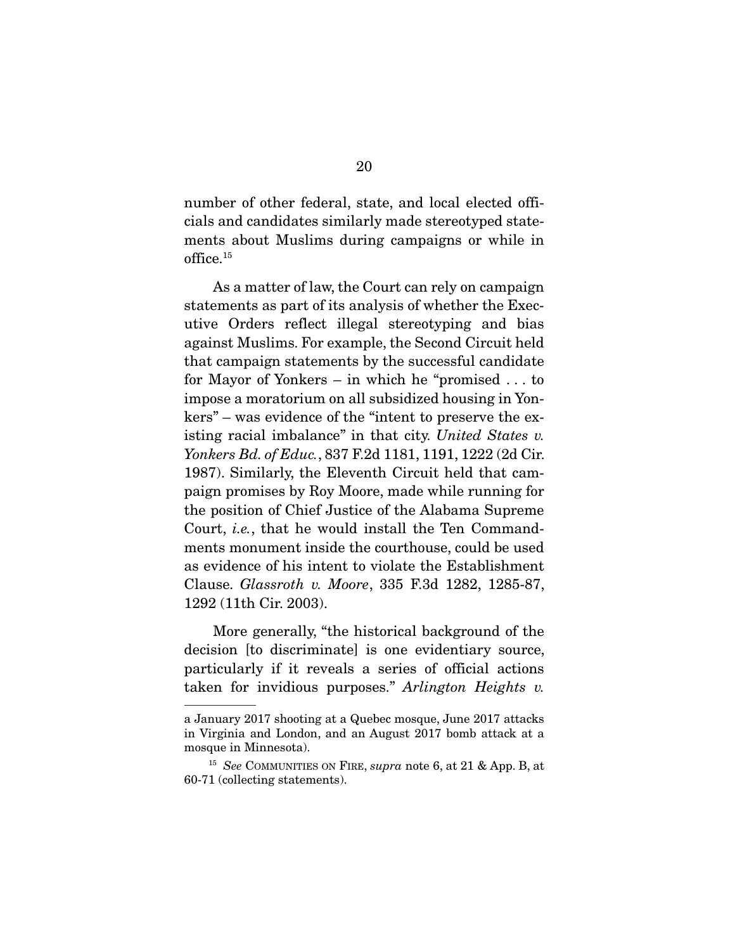number of other federal, state, and local elected officials and candidates similarly made stereotyped statements about Muslims during campaigns or while in office.15

 As a matter of law, the Court can rely on campaign statements as part of its analysis of whether the Executive Orders reflect illegal stereotyping and bias against Muslims. For example, the Second Circuit held that campaign statements by the successful candidate for Mayor of Yonkers – in which he "promised . . . to impose a moratorium on all subsidized housing in Yonkers" – was evidence of the "intent to preserve the existing racial imbalance" in that city. *United States v. Yonkers Bd. of Educ.*, 837 F.2d 1181, 1191, 1222 (2d Cir. 1987). Similarly, the Eleventh Circuit held that campaign promises by Roy Moore, made while running for the position of Chief Justice of the Alabama Supreme Court, *i.e.*, that he would install the Ten Commandments monument inside the courthouse, could be used as evidence of his intent to violate the Establishment Clause. *Glassroth v. Moore*, 335 F.3d 1282, 1285-87, 1292 (11th Cir. 2003).

 More generally, "the historical background of the decision [to discriminate] is one evidentiary source, particularly if it reveals a series of official actions taken for invidious purposes." *Arlington Heights v.* 

a January 2017 shooting at a Quebec mosque, June 2017 attacks in Virginia and London, and an August 2017 bomb attack at a mosque in Minnesota).

<sup>15</sup> *See* COMMUNITIES ON FIRE, *supra* note 6, at 21 & App. B, at 60-71 (collecting statements).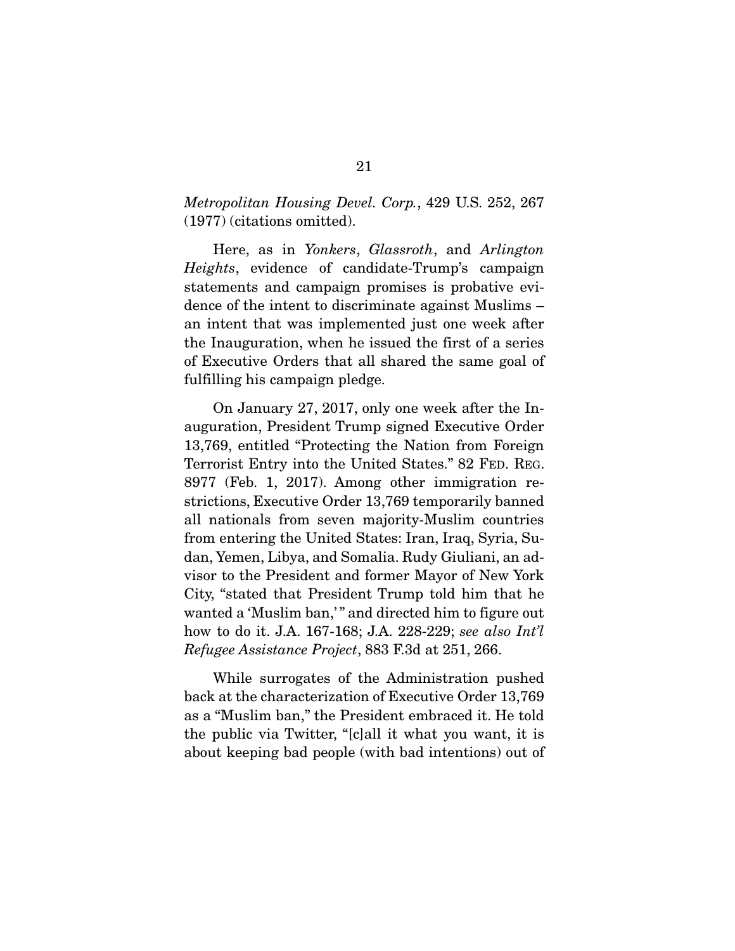*Metropolitan Housing Devel. Corp.*, 429 U.S. 252, 267 (1977) (citations omitted).

 Here, as in *Yonkers*, *Glassroth*, and *Arlington Heights*, evidence of candidate-Trump's campaign statements and campaign promises is probative evidence of the intent to discriminate against Muslims – an intent that was implemented just one week after the Inauguration, when he issued the first of a series of Executive Orders that all shared the same goal of fulfilling his campaign pledge.

 On January 27, 2017, only one week after the Inauguration, President Trump signed Executive Order 13,769, entitled "Protecting the Nation from Foreign Terrorist Entry into the United States." 82 FED. REG. 8977 (Feb. 1, 2017). Among other immigration restrictions, Executive Order 13,769 temporarily banned all nationals from seven majority-Muslim countries from entering the United States: Iran, Iraq, Syria, Sudan, Yemen, Libya, and Somalia. Rudy Giuliani, an advisor to the President and former Mayor of New York City, "stated that President Trump told him that he wanted a 'Muslim ban,'" and directed him to figure out how to do it. J.A. 167-168; J.A. 228-229; *see also Int'l Refugee Assistance Project*, 883 F.3d at 251, 266.

 While surrogates of the Administration pushed back at the characterization of Executive Order 13,769 as a "Muslim ban," the President embraced it. He told the public via Twitter, "[c]all it what you want, it is about keeping bad people (with bad intentions) out of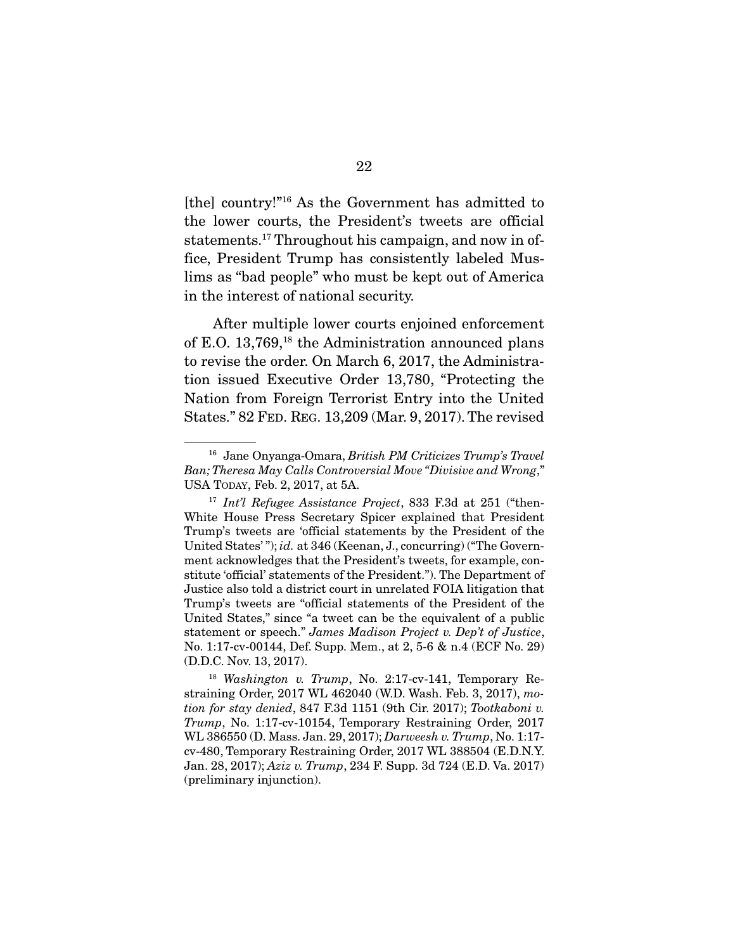[the] country!"16 As the Government has admitted to the lower courts, the President's tweets are official statements.<sup>17</sup> Throughout his campaign, and now in office, President Trump has consistently labeled Muslims as "bad people" who must be kept out of America in the interest of national security.

 After multiple lower courts enjoined enforcement of E.O. 13,769,18 the Administration announced plans to revise the order. On March 6, 2017, the Administration issued Executive Order 13,780, "Protecting the Nation from Foreign Terrorist Entry into the United States." 82 FED. REG. 13,209 (Mar. 9, 2017). The revised

<sup>16</sup> Jane Onyanga-Omara, *British PM Criticizes Trump's Travel Ban; Theresa May Calls Controversial Move "Divisive and Wrong*," USA TODAY, Feb. 2, 2017, at 5A.

<sup>17</sup> *Int'l Refugee Assistance Project*, 833 F.3d at 251 ("then-White House Press Secretary Spicer explained that President Trump's tweets are 'official statements by the President of the United States'"); *id.* at 346 (Keenan, J., concurring) ("The Government acknowledges that the President's tweets, for example, constitute 'official' statements of the President."). The Department of Justice also told a district court in unrelated FOIA litigation that Trump's tweets are "official statements of the President of the United States," since "a tweet can be the equivalent of a public statement or speech." *James Madison Project v. Dep't of Justice*, No. 1:17-cv-00144, Def. Supp. Mem., at 2, 5-6 & n.4 (ECF No. 29) (D.D.C. Nov. 13, 2017).

<sup>18</sup> *Washington v. Trump*, No. 2:17-cv-141, Temporary Restraining Order, 2017 WL 462040 (W.D. Wash. Feb. 3, 2017), *motion for stay denied*, 847 F.3d 1151 (9th Cir. 2017); *Tootkaboni v. Trump*, No. 1:17-cv-10154, Temporary Restraining Order, 2017 WL 386550 (D. Mass. Jan. 29, 2017); *Darweesh v. Trump*, No. 1:17 cv-480, Temporary Restraining Order, 2017 WL 388504 (E.D.N.Y. Jan. 28, 2017); *Aziz v. Trump*, 234 F. Supp. 3d 724 (E.D. Va. 2017) (preliminary injunction).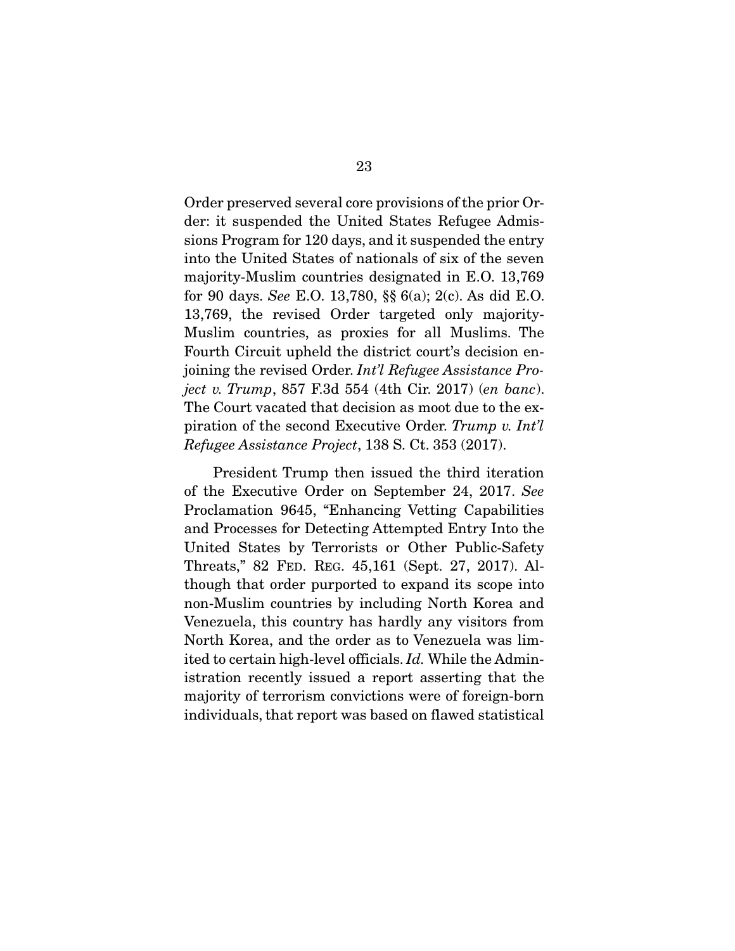Order preserved several core provisions of the prior Order: it suspended the United States Refugee Admissions Program for 120 days, and it suspended the entry into the United States of nationals of six of the seven majority-Muslim countries designated in E.O. 13,769 for 90 days. *See* E.O. 13,780, §§ 6(a); 2(c). As did E.O. 13,769, the revised Order targeted only majority-Muslim countries, as proxies for all Muslims. The Fourth Circuit upheld the district court's decision enjoining the revised Order. *Int'l Refugee Assistance Project v. Trump*, 857 F.3d 554 (4th Cir. 2017) (*en banc*). The Court vacated that decision as moot due to the expiration of the second Executive Order. *Trump v. Int'l Refugee Assistance Project*, 138 S. Ct. 353 (2017).

 President Trump then issued the third iteration of the Executive Order on September 24, 2017. *See* Proclamation 9645, "Enhancing Vetting Capabilities and Processes for Detecting Attempted Entry Into the United States by Terrorists or Other Public-Safety Threats," 82 FED. REG. 45,161 (Sept. 27, 2017). Although that order purported to expand its scope into non-Muslim countries by including North Korea and Venezuela, this country has hardly any visitors from North Korea, and the order as to Venezuela was limited to certain high-level officials. *Id.* While the Administration recently issued a report asserting that the majority of terrorism convictions were of foreign-born individuals, that report was based on flawed statistical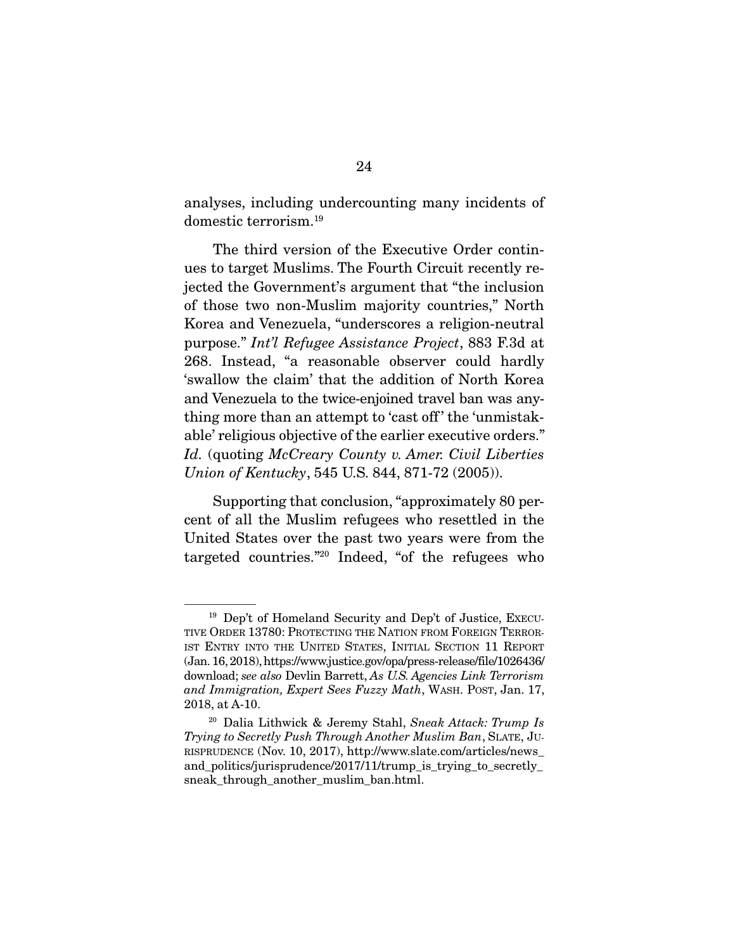analyses, including undercounting many incidents of domestic terrorism.19

 The third version of the Executive Order continues to target Muslims. The Fourth Circuit recently rejected the Government's argument that "the inclusion of those two non-Muslim majority countries," North Korea and Venezuela, "underscores a religion-neutral purpose." *Int'l Refugee Assistance Project*, 883 F.3d at 268. Instead, "a reasonable observer could hardly 'swallow the claim' that the addition of North Korea and Venezuela to the twice-enjoined travel ban was anything more than an attempt to 'cast off' the 'unmistakable' religious objective of the earlier executive orders." *Id.* (quoting *McCreary County v. Amer. Civil Liberties Union of Kentucky*, 545 U.S. 844, 871-72 (2005)).

 Supporting that conclusion, "approximately 80 percent of all the Muslim refugees who resettled in the United States over the past two years were from the targeted countries."20 Indeed, "of the refugees who

<sup>19</sup> Dep't of Homeland Security and Dep't of Justice, EXECU-TIVE ORDER 13780: PROTECTING THE NATION FROM FOREIGN TERROR-IST ENTRY INTO THE UNITED STATES, INITIAL SECTION 11 REPORT (Jan. 16, 2018), https://www.justice.gov/opa/press-release/file/1026436/ download; *see also* Devlin Barrett, *As U.S. Agencies Link Terrorism and Immigration, Expert Sees Fuzzy Math*, WASH. POST, Jan. 17, 2018, at A-10.

<sup>20</sup> Dalia Lithwick & Jeremy Stahl, *Sneak Attack: Trump Is Trying to Secretly Push Through Another Muslim Ban*, SLATE, JU-RISPRUDENCE (Nov. 10, 2017), http://www.slate.com/articles/news\_ and\_politics/jurisprudence/2017/11/trump\_is\_trying\_to\_secretly\_ sneak through another muslim ban.html.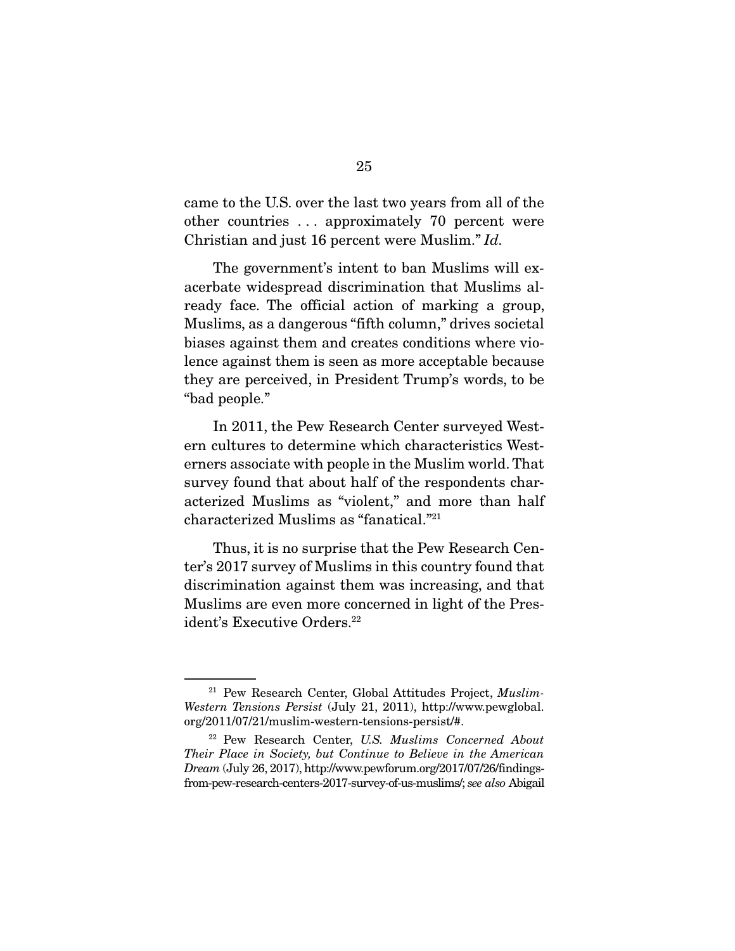came to the U.S. over the last two years from all of the other countries . . . approximately 70 percent were Christian and just 16 percent were Muslim." *Id.* 

The government's intent to ban Muslims will exacerbate widespread discrimination that Muslims already face. The official action of marking a group, Muslims, as a dangerous "fifth column," drives societal biases against them and creates conditions where violence against them is seen as more acceptable because they are perceived, in President Trump's words, to be "bad people."

 In 2011, the Pew Research Center surveyed Western cultures to determine which characteristics Westerners associate with people in the Muslim world. That survey found that about half of the respondents characterized Muslims as "violent," and more than half characterized Muslims as "fanatical."21

 Thus, it is no surprise that the Pew Research Center's 2017 survey of Muslims in this country found that discrimination against them was increasing, and that Muslims are even more concerned in light of the President's Executive Orders.<sup>22</sup>

<sup>21</sup> Pew Research Center, Global Attitudes Project, *Muslim-Western Tensions Persist* (July 21, 2011), http://www.pewglobal. org/2011/07/21/muslim-western-tensions-persist/#.

<sup>22</sup> Pew Research Center, *U.S. Muslims Concerned About Their Place in Society, but Continue to Believe in the American Dream* (July 26, 2017), http://www.pewforum.org/2017/07/26/findingsfrom-pew-research-centers-2017-survey-of-us-muslims/; *see also* Abigail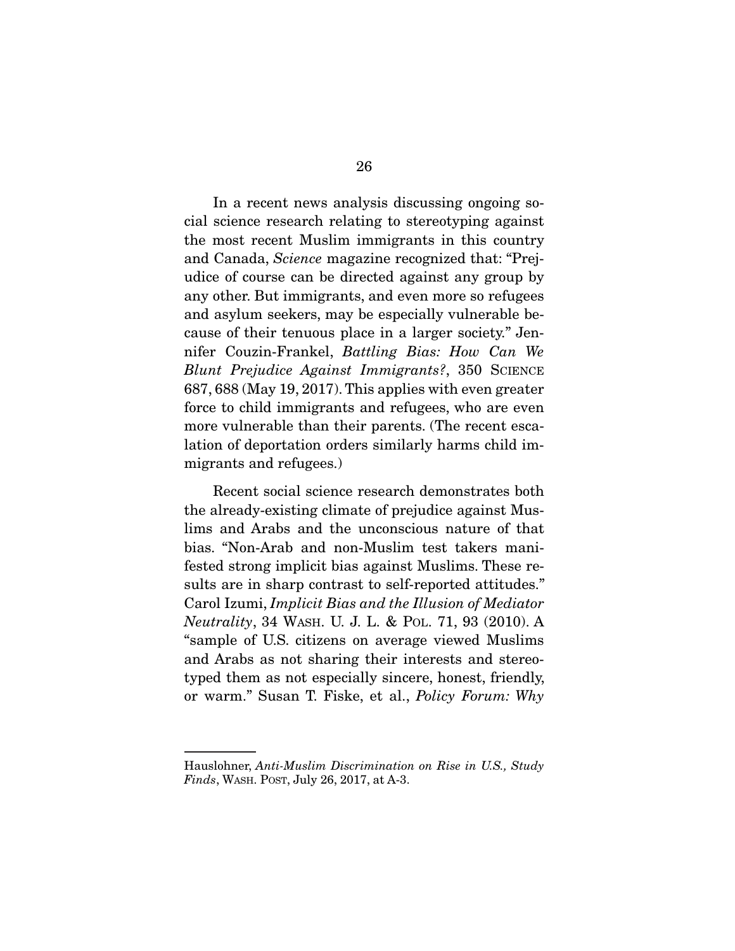In a recent news analysis discussing ongoing social science research relating to stereotyping against the most recent Muslim immigrants in this country and Canada, *Science* magazine recognized that: "Prejudice of course can be directed against any group by any other. But immigrants, and even more so refugees and asylum seekers, may be especially vulnerable because of their tenuous place in a larger society." Jennifer Couzin-Frankel, *Battling Bias: How Can We Blunt Prejudice Against Immigrants?*, 350 SCIENCE 687, 688 (May 19, 2017). This applies with even greater force to child immigrants and refugees, who are even more vulnerable than their parents. (The recent escalation of deportation orders similarly harms child immigrants and refugees.)

 Recent social science research demonstrates both the already-existing climate of prejudice against Muslims and Arabs and the unconscious nature of that bias. "Non-Arab and non-Muslim test takers manifested strong implicit bias against Muslims. These results are in sharp contrast to self-reported attitudes." Carol Izumi, *Implicit Bias and the Illusion of Mediator Neutrality*, 34 WASH. U. J. L. & POL. 71, 93 (2010). A "sample of U.S. citizens on average viewed Muslims and Arabs as not sharing their interests and stereotyped them as not especially sincere, honest, friendly, or warm." Susan T. Fiske, et al., *Policy Forum: Why* 

Hauslohner, *Anti-Muslim Discrimination on Rise in U.S., Study Finds*, WASH. POST, July 26, 2017, at A-3.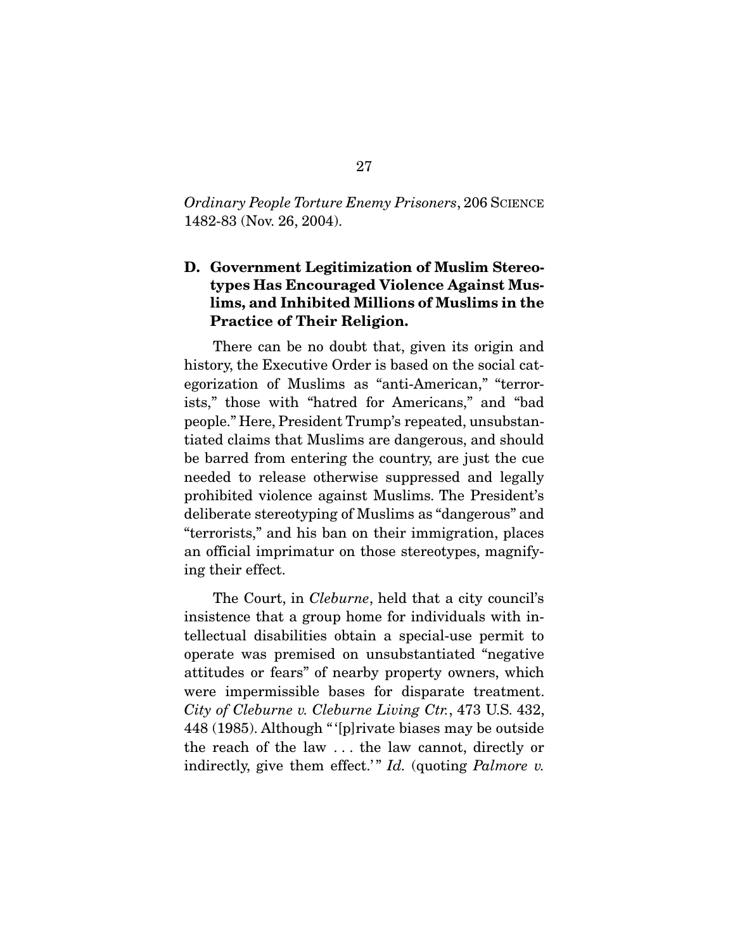*Ordinary People Torture Enemy Prisoners*, 206 SCIENCE 1482-83 (Nov. 26, 2004).

### D. Government Legitimization of Muslim Stereotypes Has Encouraged Violence Against Muslims, and Inhibited Millions of Muslims in the Practice of Their Religion.

 There can be no doubt that, given its origin and history, the Executive Order is based on the social categorization of Muslims as "anti-American," "terrorists," those with "hatred for Americans," and "bad people." Here, President Trump's repeated, unsubstantiated claims that Muslims are dangerous, and should be barred from entering the country, are just the cue needed to release otherwise suppressed and legally prohibited violence against Muslims. The President's deliberate stereotyping of Muslims as "dangerous" and "terrorists," and his ban on their immigration, places an official imprimatur on those stereotypes, magnifying their effect.

 The Court, in *Cleburne*, held that a city council's insistence that a group home for individuals with intellectual disabilities obtain a special-use permit to operate was premised on unsubstantiated "negative attitudes or fears" of nearby property owners, which were impermissible bases for disparate treatment. *City of Cleburne v. Cleburne Living Ctr.*, 473 U.S. 432, 448 (1985). Although " '[p]rivate biases may be outside the reach of the law . . . the law cannot, directly or indirectly, give them effect.'" *Id.* (quoting *Palmore v.*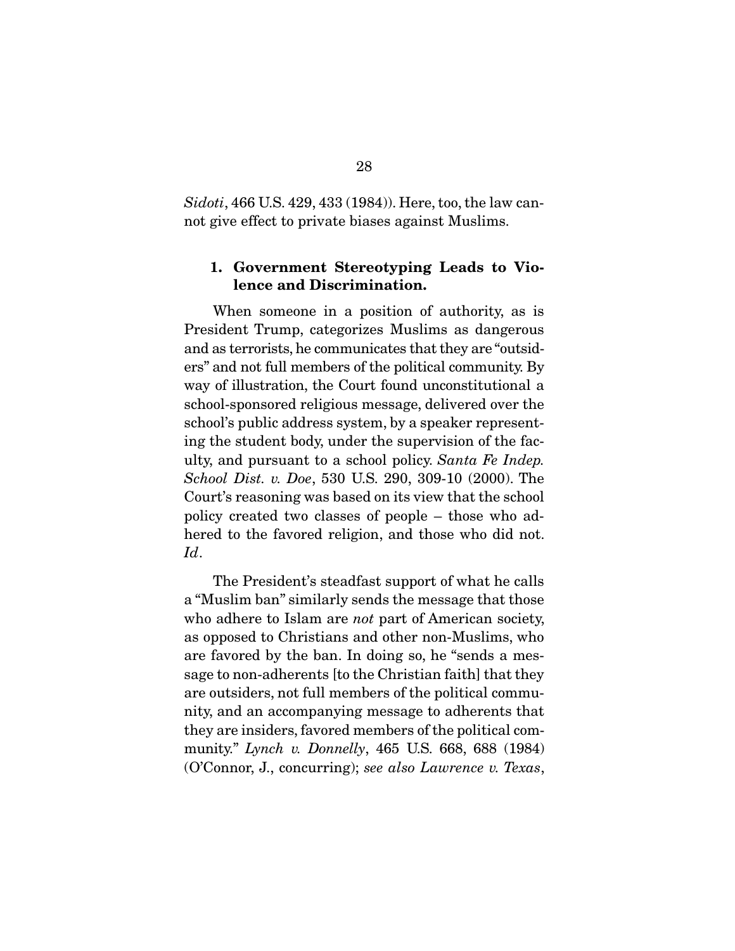*Sidoti*, 466 U.S. 429, 433 (1984)). Here, too, the law cannot give effect to private biases against Muslims.

#### 1. Government Stereotyping Leads to Violence and Discrimination.

 When someone in a position of authority, as is President Trump, categorizes Muslims as dangerous and as terrorists, he communicates that they are "outsiders" and not full members of the political community. By way of illustration, the Court found unconstitutional a school-sponsored religious message, delivered over the school's public address system, by a speaker representing the student body, under the supervision of the faculty, and pursuant to a school policy. *Santa Fe Indep. School Dist. v. Doe*, 530 U.S. 290, 309-10 (2000). The Court's reasoning was based on its view that the school policy created two classes of people – those who adhered to the favored religion, and those who did not. *Id*.

 The President's steadfast support of what he calls a "Muslim ban" similarly sends the message that those who adhere to Islam are *not* part of American society, as opposed to Christians and other non-Muslims, who are favored by the ban. In doing so, he "sends a message to non-adherents [to the Christian faith] that they are outsiders, not full members of the political community, and an accompanying message to adherents that they are insiders, favored members of the political community." *Lynch v. Donnelly*, 465 U.S. 668, 688 (1984) (O'Connor, J., concurring); *see also Lawrence v. Texas*,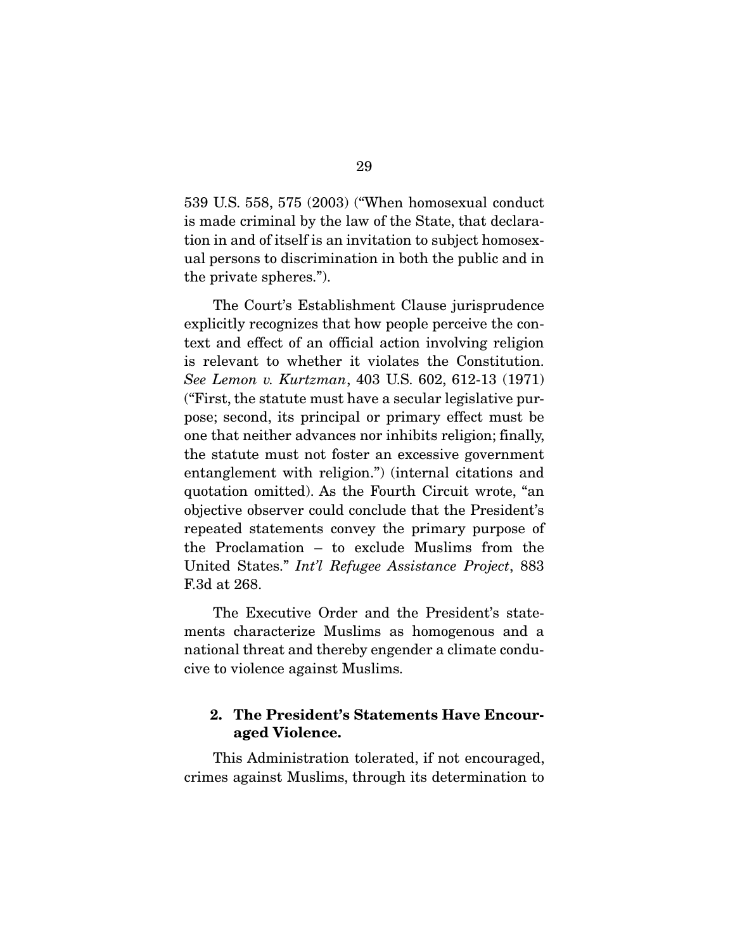539 U.S. 558, 575 (2003) ("When homosexual conduct is made criminal by the law of the State, that declaration in and of itself is an invitation to subject homosexual persons to discrimination in both the public and in the private spheres.").

 The Court's Establishment Clause jurisprudence explicitly recognizes that how people perceive the context and effect of an official action involving religion is relevant to whether it violates the Constitution. *See Lemon v. Kurtzman*, 403 U.S. 602, 612-13 (1971) ("First, the statute must have a secular legislative purpose; second, its principal or primary effect must be one that neither advances nor inhibits religion; finally, the statute must not foster an excessive government entanglement with religion.") (internal citations and quotation omitted). As the Fourth Circuit wrote, "an objective observer could conclude that the President's repeated statements convey the primary purpose of the Proclamation – to exclude Muslims from the United States." *Int'l Refugee Assistance Project*, 883 F.3d at 268.

 The Executive Order and the President's statements characterize Muslims as homogenous and a national threat and thereby engender a climate conducive to violence against Muslims.

#### 2. The President's Statements Have Encouraged Violence.

This Administration tolerated, if not encouraged, crimes against Muslims, through its determination to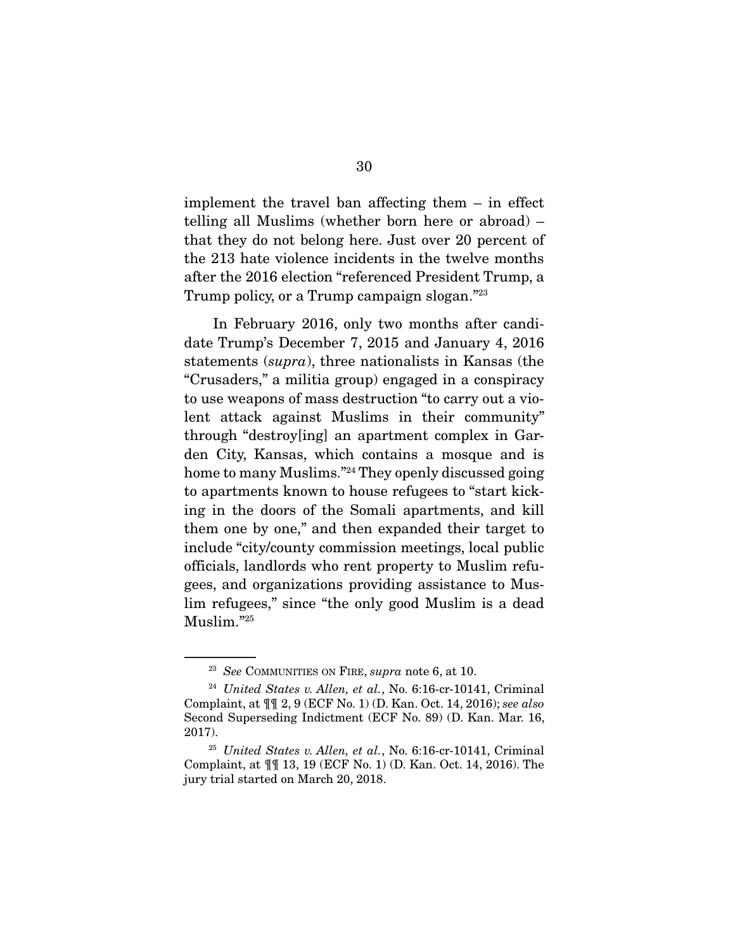implement the travel ban affecting them – in effect telling all Muslims (whether born here or abroad) – that they do not belong here. Just over 20 percent of the 213 hate violence incidents in the twelve months after the 2016 election "referenced President Trump, a Trump policy, or a Trump campaign slogan."<sup>23</sup>

 In February 2016, only two months after candidate Trump's December 7, 2015 and January 4, 2016 statements (*supra*), three nationalists in Kansas (the "Crusaders," a militia group) engaged in a conspiracy to use weapons of mass destruction "to carry out a violent attack against Muslims in their community" through "destroy[ing] an apartment complex in Garden City, Kansas, which contains a mosque and is home to many Muslims."24 They openly discussed going to apartments known to house refugees to "start kicking in the doors of the Somali apartments, and kill them one by one," and then expanded their target to include "city/county commission meetings, local public officials, landlords who rent property to Muslim refugees, and organizations providing assistance to Muslim refugees," since "the only good Muslim is a dead Muslim."25

<sup>23</sup> *See* COMMUNITIES ON FIRE, *supra* note 6, at 10.

<sup>24</sup> *United States v. Allen, et al.*, No. 6:16-cr-10141, Criminal Complaint, at ¶¶ 2, 9 (ECF No. 1) (D. Kan. Oct. 14, 2016); *see also*  Second Superseding Indictment (ECF No. 89) (D. Kan. Mar. 16, 2017).

<sup>25</sup> *United States v. Allen, et al.*, No. 6:16-cr-10141, Criminal Complaint, at ¶¶ 13, 19 (ECF No. 1) (D. Kan. Oct. 14, 2016). The jury trial started on March 20, 2018.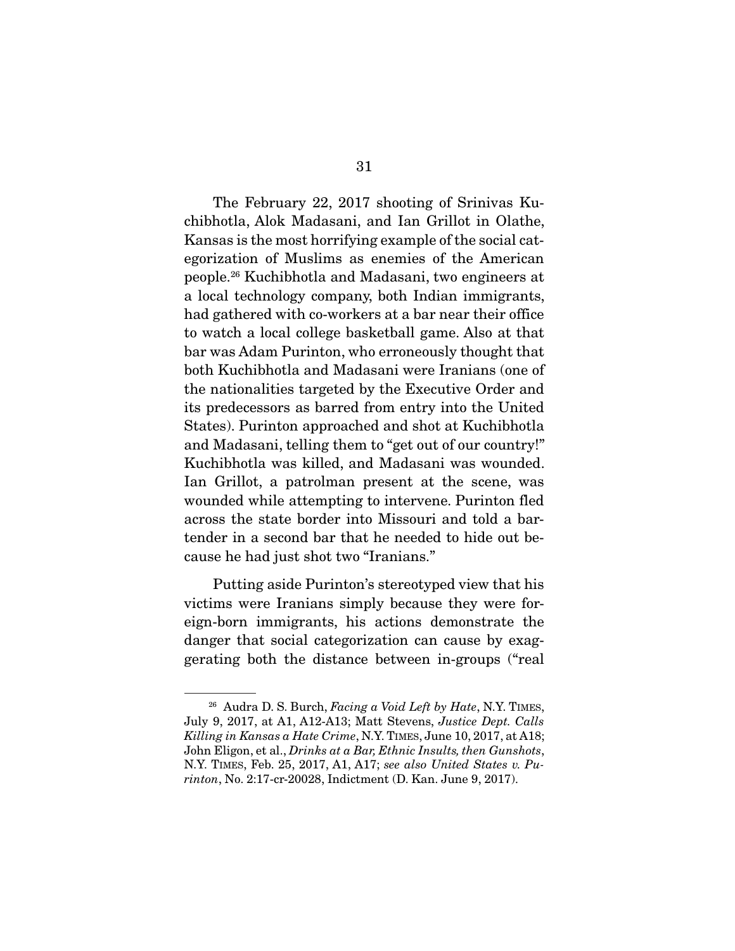The February 22, 2017 shooting of Srinivas Kuchibhotla, Alok Madasani, and Ian Grillot in Olathe, Kansas is the most horrifying example of the social categorization of Muslims as enemies of the American people.26 Kuchibhotla and Madasani, two engineers at a local technology company, both Indian immigrants, had gathered with co-workers at a bar near their office to watch a local college basketball game. Also at that bar was Adam Purinton, who erroneously thought that both Kuchibhotla and Madasani were Iranians (one of the nationalities targeted by the Executive Order and its predecessors as barred from entry into the United States). Purinton approached and shot at Kuchibhotla and Madasani, telling them to "get out of our country!" Kuchibhotla was killed, and Madasani was wounded. Ian Grillot, a patrolman present at the scene, was wounded while attempting to intervene. Purinton fled across the state border into Missouri and told a bartender in a second bar that he needed to hide out because he had just shot two "Iranians."

 Putting aside Purinton's stereotyped view that his victims were Iranians simply because they were foreign-born immigrants, his actions demonstrate the danger that social categorization can cause by exaggerating both the distance between in-groups ("real

<sup>26</sup> Audra D. S. Burch, *Facing a Void Left by Hate*, N.Y. TIMES, July 9, 2017, at A1, A12-A13; Matt Stevens, *Justice Dept. Calls Killing in Kansas a Hate Crime*, N.Y. TIMES, June 10, 2017, at A18; John Eligon, et al., *Drinks at a Bar, Ethnic Insults, then Gunshots*, N.Y. TIMES, Feb. 25, 2017, A1, A17; *see also United States v. Purinton*, No. 2:17-cr-20028, Indictment (D. Kan. June 9, 2017).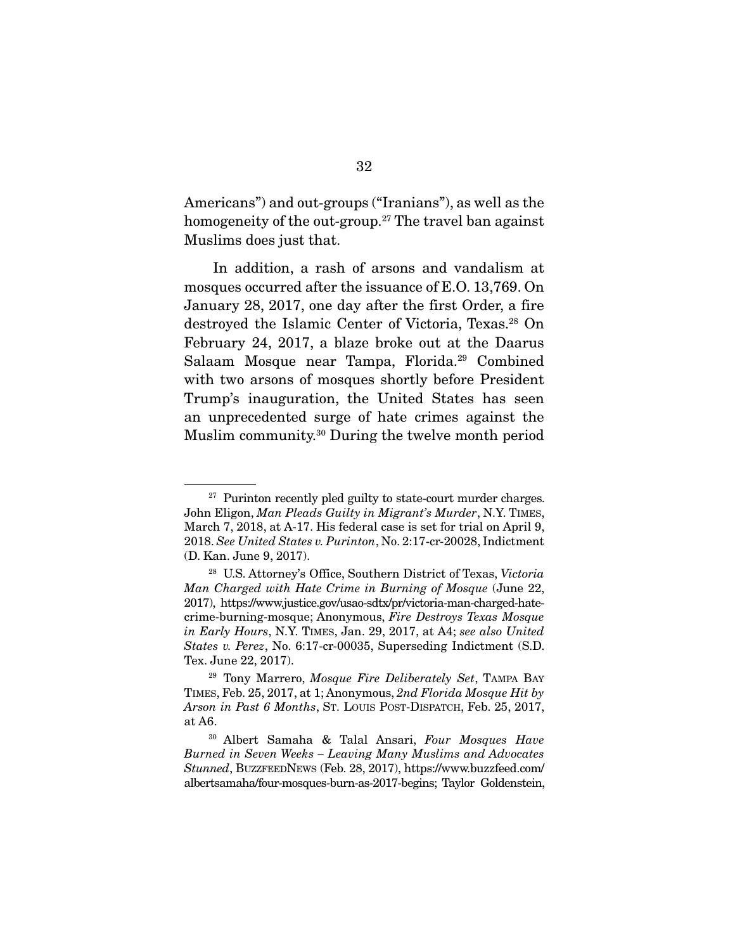Americans") and out-groups ("Iranians"), as well as the homogeneity of the out-group.<sup>27</sup> The travel ban against Muslims does just that.

 In addition, a rash of arsons and vandalism at mosques occurred after the issuance of E.O. 13,769. On January 28, 2017, one day after the first Order, a fire destroyed the Islamic Center of Victoria, Texas.28 On February 24, 2017, a blaze broke out at the Daarus Salaam Mosque near Tampa, Florida.29 Combined with two arsons of mosques shortly before President Trump's inauguration, the United States has seen an unprecedented surge of hate crimes against the Muslim community.30 During the twelve month period

 $27$  Purinton recently pled guilty to state-court murder charges. John Eligon, *Man Pleads Guilty in Migrant's Murder*, N.Y. TIMES, March 7, 2018, at A-17. His federal case is set for trial on April 9, 2018. *See United States v. Purinton*, No. 2:17-cr-20028, Indictment (D. Kan. June 9, 2017).

<sup>28</sup> U.S. Attorney's Office, Southern District of Texas, *Victoria Man Charged with Hate Crime in Burning of Mosque* (June 22, 2017), https://www.justice.gov/usao-sdtx/pr/victoria-man-charged-hatecrime-burning-mosque; Anonymous, *Fire Destroys Texas Mosque in Early Hours*, N.Y. TIMES, Jan. 29, 2017, at A4; *see also United States v. Perez*, No. 6:17-cr-00035, Superseding Indictment (S.D. Tex. June 22, 2017).

<sup>29</sup> Tony Marrero, *Mosque Fire Deliberately Set*, TAMPA BAY TIMES, Feb. 25, 2017, at 1; Anonymous, *2nd Florida Mosque Hit by Arson in Past 6 Months*, ST. LOUIS POST-DISPATCH, Feb. 25, 2017, at A6.

<sup>30</sup> Albert Samaha & Talal Ansari, *Four Mosques Have Burned in Seven Weeks – Leaving Many Muslims and Advocates Stunned*, BUZZFEEDNEWS (Feb. 28, 2017), https://www.buzzfeed.com/ albertsamaha/four-mosques-burn-as-2017-begins; Taylor Goldenstein,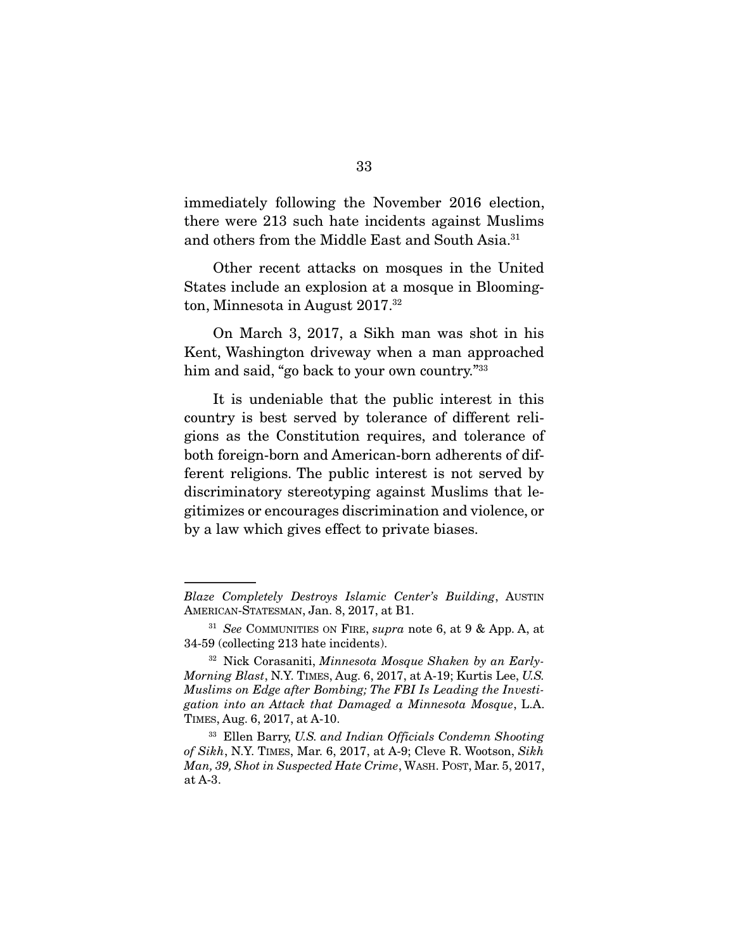immediately following the November 2016 election, there were 213 such hate incidents against Muslims and others from the Middle East and South Asia.31

 Other recent attacks on mosques in the United States include an explosion at a mosque in Bloomington, Minnesota in August 2017.32

 On March 3, 2017, a Sikh man was shot in his Kent, Washington driveway when a man approached him and said, "go back to your own country."<sup>33</sup>

 It is undeniable that the public interest in this country is best served by tolerance of different religions as the Constitution requires, and tolerance of both foreign-born and American-born adherents of different religions. The public interest is not served by discriminatory stereotyping against Muslims that legitimizes or encourages discrimination and violence, or by a law which gives effect to private biases.

*Blaze Completely Destroys Islamic Center's Building*, AUSTIN AMERICAN-STATESMAN, Jan. 8, 2017, at B1.

<sup>31</sup> *See* COMMUNITIES ON FIRE, *supra* note 6, at 9 & App. A, at 34-59 (collecting 213 hate incidents).

<sup>32</sup> Nick Corasaniti, *Minnesota Mosque Shaken by an Early-Morning Blast*, N.Y. TIMES, Aug. 6, 2017, at A-19; Kurtis Lee, *U.S. Muslims on Edge after Bombing; The FBI Is Leading the Investigation into an Attack that Damaged a Minnesota Mosque*, L.A. TIMES, Aug. 6, 2017, at A-10.

<sup>33</sup> Ellen Barry, *U.S. and Indian Officials Condemn Shooting of Sikh*, N.Y. TIMES, Mar. 6, 2017, at A-9; Cleve R. Wootson, *Sikh Man, 39, Shot in Suspected Hate Crime*, WASH. POST, Mar. 5, 2017, at A-3.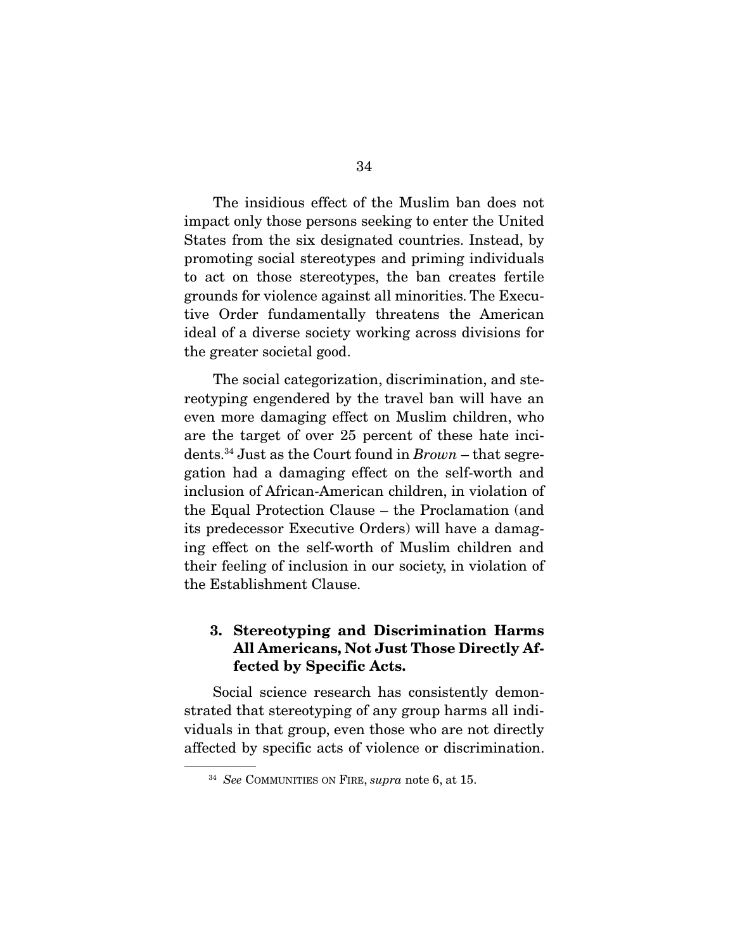The insidious effect of the Muslim ban does not impact only those persons seeking to enter the United States from the six designated countries. Instead, by promoting social stereotypes and priming individuals to act on those stereotypes, the ban creates fertile grounds for violence against all minorities. The Executive Order fundamentally threatens the American ideal of a diverse society working across divisions for the greater societal good.

 The social categorization, discrimination, and stereotyping engendered by the travel ban will have an even more damaging effect on Muslim children, who are the target of over 25 percent of these hate incidents.34 Just as the Court found in *Brown* – that segregation had a damaging effect on the self-worth and inclusion of African-American children, in violation of the Equal Protection Clause – the Proclamation (and its predecessor Executive Orders) will have a damaging effect on the self-worth of Muslim children and their feeling of inclusion in our society, in violation of the Establishment Clause.

#### 3. Stereotyping and Discrimination Harms All Americans, Not Just Those Directly Affected by Specific Acts.

 Social science research has consistently demonstrated that stereotyping of any group harms all individuals in that group, even those who are not directly affected by specific acts of violence or discrimination.

<sup>34</sup> *See* COMMUNITIES ON FIRE, *supra* note 6, at 15.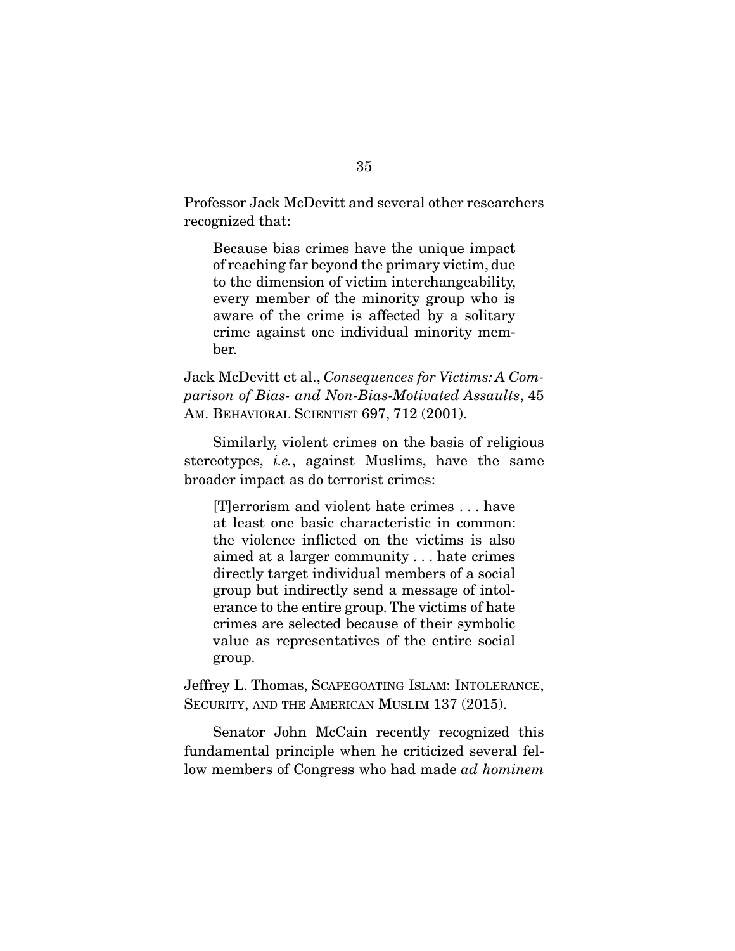Professor Jack McDevitt and several other researchers recognized that:

Because bias crimes have the unique impact of reaching far beyond the primary victim, due to the dimension of victim interchangeability, every member of the minority group who is aware of the crime is affected by a solitary crime against one individual minority member.

Jack McDevitt et al., *Consequences for Victims: A Comparison of Bias- and Non-Bias-Motivated Assaults*, 45 AM. BEHAVIORAL SCIENTIST 697, 712 (2001).

 Similarly, violent crimes on the basis of religious stereotypes, *i.e.*, against Muslims, have the same broader impact as do terrorist crimes:

[T]errorism and violent hate crimes . . . have at least one basic characteristic in common: the violence inflicted on the victims is also aimed at a larger community . . . hate crimes directly target individual members of a social group but indirectly send a message of intolerance to the entire group. The victims of hate crimes are selected because of their symbolic value as representatives of the entire social group.

Jeffrey L. Thomas, SCAPEGOATING ISLAM: INTOLERANCE, SECURITY, AND THE AMERICAN MUSLIM 137 (2015).

 Senator John McCain recently recognized this fundamental principle when he criticized several fellow members of Congress who had made *ad hominem*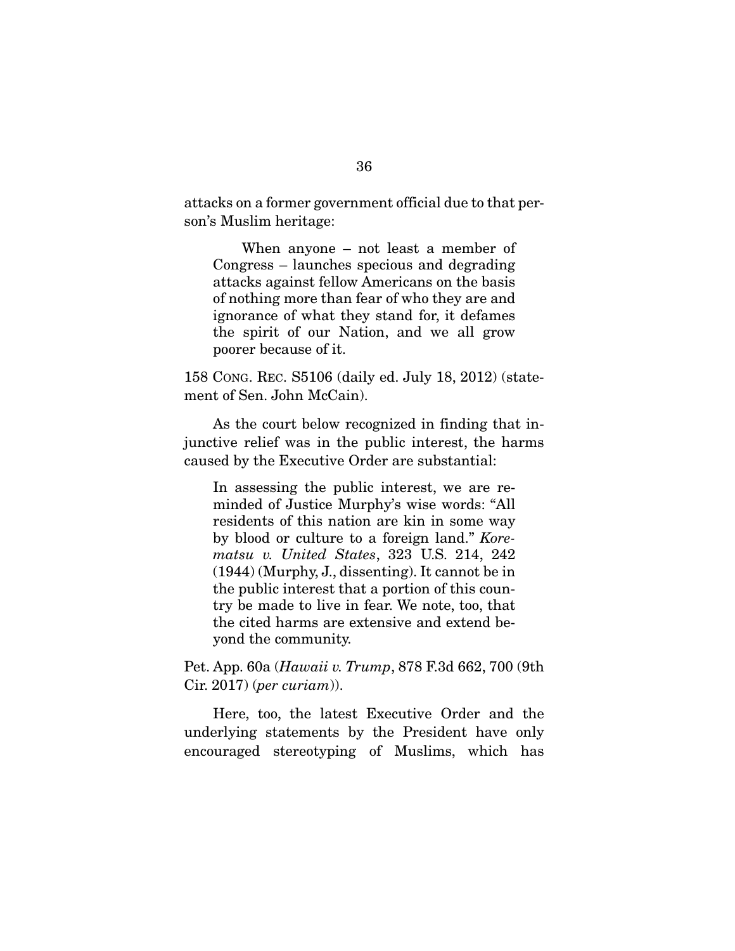attacks on a former government official due to that person's Muslim heritage:

 When anyone – not least a member of Congress – launches specious and degrading attacks against fellow Americans on the basis of nothing more than fear of who they are and ignorance of what they stand for, it defames the spirit of our Nation, and we all grow poorer because of it.

158 CONG. REC. S5106 (daily ed. July 18, 2012) (statement of Sen. John McCain).

 As the court below recognized in finding that injunctive relief was in the public interest, the harms caused by the Executive Order are substantial:

In assessing the public interest, we are reminded of Justice Murphy's wise words: "All residents of this nation are kin in some way by blood or culture to a foreign land." *Korematsu v. United States*, 323 U.S. 214, 242 (1944) (Murphy, J., dissenting). It cannot be in the public interest that a portion of this country be made to live in fear. We note, too, that the cited harms are extensive and extend beyond the community.

Pet. App. 60a (*Hawaii v. Trump*, 878 F.3d 662, 700 (9th Cir. 2017) (*per curiam*)).

 Here, too, the latest Executive Order and the underlying statements by the President have only encouraged stereotyping of Muslims, which has